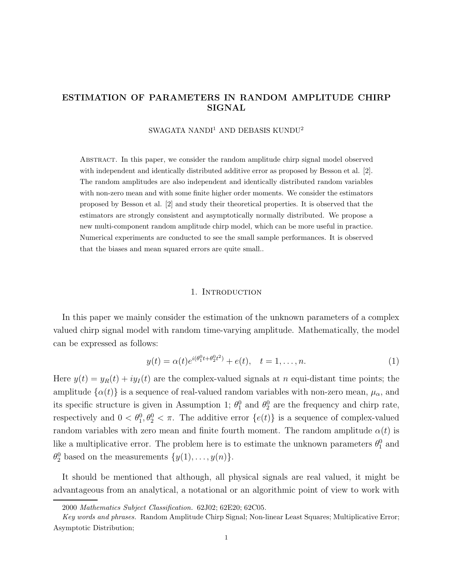# ESTIMATION OF PARAMETERS IN RANDOM AMPLITUDE CHIRP SIGNAL

# $\rm SWAGATA$   $\rm NANDI^{1}$   $\rm AND$   $\rm DEBASIS$   $\rm KUNDU^{2}$

Abstract. In this paper, we consider the random amplitude chirp signal model observed with independent and identically distributed additive error as proposed by Besson et al. [2]. The random amplitudes are also independent and identically distributed random variables with non-zero mean and with some finite higher order moments. We consider the estimators proposed by Besson et al. [2] and study their theoretical properties. It is observed that the estimators are strongly consistent and asymptotically normally distributed. We propose a new multi-component random amplitude chirp model, which can be more useful in practice. Numerical experiments are conducted to see the small sample performances. It is observed that the biases and mean squared errors are quite small..

#### 1. INTRODUCTION

In this paper we mainly consider the estimation of the unknown parameters of a complex valued chirp signal model with random time-varying amplitude. Mathematically, the model can be expressed as follows:

$$
y(t) = \alpha(t)e^{i(\theta_1^0 t + \theta_2^0 t^2)} + e(t), \quad t = 1, \dots, n.
$$
 (1)

Here  $y(t) = y_R(t) + iy_I(t)$  are the complex-valued signals at n equi-distant time points; the amplitude  $\{\alpha(t)\}\$ is a sequence of real-valued random variables with non-zero mean,  $\mu_{\alpha}$ , and its specific structure is given in Assumption 1;  $\theta_1^0$  and  $\theta_2^0$  are the frequency and chirp rate, respectively and  $0 < \theta_1^0, \theta_2^0 < \pi$ . The additive error  $\{e(t)\}\$ is a sequence of complex-valued random variables with zero mean and finite fourth moment. The random amplitude  $\alpha(t)$  is like a multiplicative error. The problem here is to estimate the unknown parameters  $\theta_1^0$  and  $\theta_2^0$  based on the measurements  $\{y(1), \ldots, y(n)\}.$ 

It should be mentioned that although, all physical signals are real valued, it might be advantageous from an analytical, a notational or an algorithmic point of view to work with

<sup>2000</sup> *Mathematics Subject Classification.* 62J02; 62E20; 62C05.

*Key words and phrases.* Random Amplitude Chirp Signal; Non-linear Least Squares; Multiplicative Error; Asymptotic Distribution;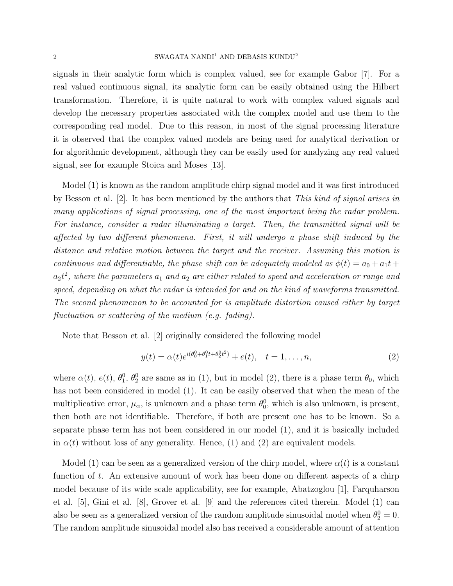signals in their analytic form which is complex valued, see for example Gabor [7]. For a real valued continuous signal, its analytic form can be easily obtained using the Hilbert transformation. Therefore, it is quite natural to work with complex valued signals and develop the necessary properties associated with the complex model and use them to the corresponding real model. Due to this reason, in most of the signal processing literature it is observed that the complex valued models are being used for analytical derivation or for algorithmic development, although they can be easily used for analyzing any real valued signal, see for example Stoica and Moses [13].

Model (1) is known as the random amplitude chirp signal model and it was first introduced by Besson et al. [2]. It has been mentioned by the authors that This kind of signal arises in many applications of signal processing, one of the most important being the radar problem. For instance, consider a radar illuminating a target. Then, the transmitted signal will be affected by two different phenomena. First, it will undergo a phase shift induced by the distance and relative motion between the target and the receiver. Assuming this motion is continuous and differentiable, the phase shift can be adequately modeled as  $\phi(t) = a_0 + a_1 t +$  $a_2 t^2,$  where the parameters  $a_1$  and  $a_2$  are either related to speed and acceleration or range and speed, depending on what the radar is intended for and on the kind of waveforms transmitted. The second phenomenon to be accounted for is amplitude distortion caused either by target fluctuation or scattering of the medium (e.g. fading).

Note that Besson et al. [2] originally considered the following model

$$
y(t) = \alpha(t)e^{i(\theta_0^0 + \theta_1^0 t + \theta_2^0 t^2)} + e(t), \quad t = 1, \dots, n,
$$
\n(2)

where  $\alpha(t)$ ,  $e(t)$ ,  $\theta_1^0$ ,  $\theta_2^0$  are same as in (1), but in model (2), there is a phase term  $\theta_0$ , which has not been considered in model (1). It can be easily observed that when the mean of the multiplicative error,  $\mu_{\alpha}$ , is unknown and a phase term  $\theta_0^0$ , which is also unknown, is present, then both are not identifiable. Therefore, if both are present one has to be known. So a separate phase term has not been considered in our model (1), and it is basically included in  $\alpha(t)$  without loss of any generality. Hence, (1) and (2) are equivalent models.

Model (1) can be seen as a generalized version of the chirp model, where  $\alpha(t)$  is a constant function of t. An extensive amount of work has been done on different aspects of a chirp model because of its wide scale applicability, see for example, Abatzoglou [1], Farquharson et al. [5], Gini et al. [8], Grover et al. [9] and the references cited therein. Model (1) can also be seen as a generalized version of the random amplitude sinusoidal model when  $\theta_2^0 = 0$ . The random amplitude sinusoidal model also has received a considerable amount of attention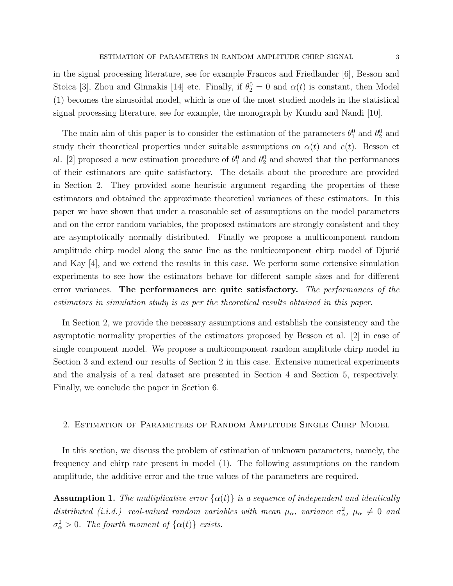in the signal processing literature, see for example Francos and Friedlander [6], Besson and Stoica [3], Zhou and Ginnakis [14] etc. Finally, if  $\theta_2^0 = 0$  and  $\alpha(t)$  is constant, then Model (1) becomes the sinusoidal model, which is one of the most studied models in the statistical signal processing literature, see for example, the monograph by Kundu and Nandi [10].

The main aim of this paper is to consider the estimation of the parameters  $\theta_1^0$  and  $\theta_2^0$  and study their theoretical properties under suitable assumptions on  $\alpha(t)$  and  $e(t)$ . Besson et al. [2] proposed a new estimation procedure of  $\theta_1^0$  and  $\theta_2^0$  and showed that the performances of their estimators are quite satisfactory. The details about the procedure are provided in Section 2. They provided some heuristic argument regarding the properties of these estimators and obtained the approximate theoretical variances of these estimators. In this paper we have shown that under a reasonable set of assumptions on the model parameters and on the error random variables, the proposed estimators are strongly consistent and they are asymptotically normally distributed. Finally we propose a multicomponent random amplitude chirp model along the same line as the multicomponent chirp model of Djurić and Kay [4], and we extend the results in this case. We perform some extensive simulation experiments to see how the estimators behave for different sample sizes and for different error variances. The performances are quite satisfactory. The performances of the estimators in simulation study is as per the theoretical results obtained in this paper.

In Section 2, we provide the necessary assumptions and establish the consistency and the asymptotic normality properties of the estimators proposed by Besson et al. [2] in case of single component model. We propose a multicomponent random amplitude chirp model in Section 3 and extend our results of Section 2 in this case. Extensive numerical experiments and the analysis of a real dataset are presented in Section 4 and Section 5, respectively. Finally, we conclude the paper in Section 6.

## 2. Estimation of Parameters of Random Amplitude Single Chirp Model

In this section, we discuss the problem of estimation of unknown parameters, namely, the frequency and chirp rate present in model (1). The following assumptions on the random amplitude, the additive error and the true values of the parameters are required.

**Assumption 1.** The multiplicative error  $\{\alpha(t)\}\$ is a sequence of independent and identically distributed (i.i.d.) real-valued random variables with mean  $\mu_{\alpha}$ , variance  $\sigma_{\alpha}^2$ ,  $\mu_{\alpha} \neq 0$  and  $\sigma_{\alpha}^2 > 0$ . The fourth moment of  $\{\alpha(t)\}$  exists.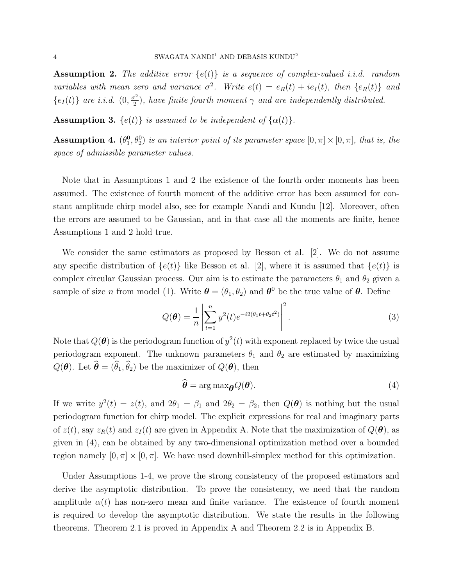**Assumption 2.** The additive error  $\{e(t)\}\$ is a sequence of complex-valued i.i.d. random variables with mean zero and variance  $\sigma^2$ . Write  $e(t) = e_R(t) + ie_I(t)$ , then  $\{e_R(t)\}\$  and  ${e_I(t)}$  are i.i.d.  $(0, \frac{\sigma^2}{2})$  $\frac{f^2}{2}$ ), have finite fourth moment  $\gamma$  and are independently distributed.

**Assumption 3.**  $\{e(t)\}\$ is assumed to be independent of  $\{\alpha(t)\}\$ .

**Assumption 4.**  $(\theta_1^0, \theta_2^0)$  is an interior point of its parameter space  $[0, \pi] \times [0, \pi]$ , that is, the space of admissible parameter values.

Note that in Assumptions 1 and 2 the existence of the fourth order moments has been assumed. The existence of fourth moment of the additive error has been assumed for constant amplitude chirp model also, see for example Nandi and Kundu [12]. Moreover, often the errors are assumed to be Gaussian, and in that case all the moments are finite, hence Assumptions 1 and 2 hold true.

We consider the same estimators as proposed by Besson et al. [2]. We do not assume any specific distribution of  ${e(t)}$  like Besson et al. [2], where it is assumed that  ${e(t)}$  is complex circular Gaussian process. Our aim is to estimate the parameters  $\theta_1$  and  $\theta_2$  given a sample of size *n* from model (1). Write  $\boldsymbol{\theta} = (\theta_1, \theta_2)$  and  $\boldsymbol{\theta}^0$  be the true value of  $\boldsymbol{\theta}$ . Define

$$
Q(\boldsymbol{\theta}) = \frac{1}{n} \left| \sum_{t=1}^{n} y^2(t) e^{-i2(\theta_1 t + \theta_2 t^2)} \right|^2.
$$
 (3)

Note that  $Q(\boldsymbol{\theta})$  is the periodogram function of  $y^2(t)$  with exponent replaced by twice the usual periodogram exponent. The unknown parameters  $\theta_1$  and  $\theta_2$  are estimated by maximizing  $Q(\boldsymbol{\theta})$ . Let  $\widehat{\boldsymbol{\theta}} = (\widehat{\theta}_1, \widehat{\theta}_2)$  be the maximizer of  $Q(\boldsymbol{\theta})$ , then

$$
\widehat{\boldsymbol{\theta}} = \arg \max_{\boldsymbol{\theta}} Q(\boldsymbol{\theta}). \tag{4}
$$

If we write  $y^2(t) = z(t)$ , and  $2\theta_1 = \beta_1$  and  $2\theta_2 = \beta_2$ , then  $Q(\theta)$  is nothing but the usual periodogram function for chirp model. The explicit expressions for real and imaginary parts of  $z(t)$ , say  $z_R(t)$  and  $z_I(t)$  are given in Appendix A. Note that the maximization of  $Q(\theta)$ , as given in (4), can be obtained by any two-dimensional optimization method over a bounded region namely  $[0, \pi] \times [0, \pi]$ . We have used downhill-simplex method for this optimization.

Under Assumptions 1-4, we prove the strong consistency of the proposed estimators and derive the asymptotic distribution. To prove the consistency, we need that the random amplitude  $\alpha(t)$  has non-zero mean and finite variance. The existence of fourth moment is required to develop the asymptotic distribution. We state the results in the following theorems. Theorem 2.1 is proved in Appendix A and Theorem 2.2 is in Appendix B.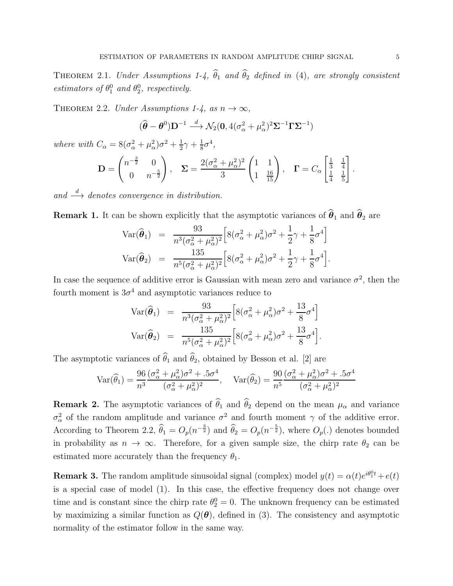THEOREM 2.1. Under Assumptions 1-4,  $\hat{\theta}_1$  and  $\hat{\theta}_2$  defined in (4), are strongly consistent estimators of  $\theta_1^0$  and  $\theta_2^0$ , respectively.

THEOREM 2.2. Under Assumptions 1-4, as  $n \to \infty$ ,

$$
(\widehat{\boldsymbol{\theta}} - \boldsymbol{\theta}^0) \mathbf{D}^{-1} \stackrel{d}{\longrightarrow} \mathcal{N}_2(\mathbf{0}, 4(\sigma_\alpha^2 + \mu_\alpha^2)^2 \mathbf{\Sigma}^{-1} \mathbf{\Gamma} \mathbf{\Sigma}^{-1})
$$

where with  $C_{\alpha} = 8(\sigma_{\alpha}^2 + \mu_{\alpha}^2)\sigma^2 + \frac{1}{2}$  $rac{1}{2}\gamma + \frac{1}{8}$  $\frac{1}{8}\sigma^4$ ,  $\left(n^{-\frac{3}{2}} \ 0\right)$ 

$$
\mathbf{D} = \begin{pmatrix} n^{-\frac{3}{2}} & 0 \\ 0 & n^{-\frac{5}{2}} \end{pmatrix}, \quad \mathbf{\Sigma} = \frac{2(\sigma_{\alpha}^2 + \mu_{\alpha}^2)^2}{3} \begin{pmatrix} 1 & 1 \\ 1 & \frac{16}{15} \end{pmatrix}, \quad \mathbf{\Gamma} = C_{\alpha} \begin{bmatrix} \frac{1}{3} & \frac{1}{4} \\ \frac{1}{4} & \frac{1}{5} \end{bmatrix}.
$$

and  $\stackrel{d}{\longrightarrow}$  denotes convergence in distribution.

**Remark 1.** It can be shown explicitly that the asymptotic variances of  $\hat{\theta}_1$  and  $\hat{\theta}_2$  are

$$
\begin{array}{rcl}\n\text{Var}(\widehat{\theta}_{1}) & = & \frac{93}{n^{3}(\sigma_{\alpha}^{2} + \mu_{\alpha}^{2})^{2}} \Big[ 8(\sigma_{\alpha}^{2} + \mu_{\alpha}^{2})\sigma^{2} + \frac{1}{2}\gamma + \frac{1}{8}\sigma^{4} \Big] \\
\text{Var}(\widehat{\theta}_{2}) & = & \frac{135}{n^{5}(\sigma_{\alpha}^{2} + \mu_{\alpha}^{2})^{2}} \Big[ 8(\sigma_{\alpha}^{2} + \mu_{\alpha}^{2})\sigma^{2} + \frac{1}{2}\gamma + \frac{1}{8}\sigma^{4} \Big].\n\end{array}
$$

In case the sequence of additive error is Gaussian with mean zero and variance  $\sigma^2$ , then the fourth moment is  $3\sigma^4$  and asymptotic variances reduce to

$$
Var(\hat{\theta}_1) = \frac{93}{n^3(\sigma_{\alpha}^2 + \mu_{\alpha}^2)^2} \left[ 8(\sigma_{\alpha}^2 + \mu_{\alpha}^2) \sigma^2 + \frac{13}{8} \sigma^4 \right]
$$
  

$$
Var(\hat{\theta}_2) = \frac{135}{n^5(\sigma_{\alpha}^2 + \mu_{\alpha}^2)^2} \left[ 8(\sigma_{\alpha}^2 + \mu_{\alpha}^2) \sigma^2 + \frac{13}{8} \sigma^4 \right].
$$

The asymptotic variances of  $\theta_1$  and  $\theta_2$ , obtained by Besson et al. [2] are

$$
Var(\hat{\theta}_1) = \frac{96}{n^3} \frac{(\sigma_{\alpha}^2 + \mu_{\alpha}^2)\sigma^2 + .5\sigma^4}{(\sigma_{\alpha}^2 + \mu_{\alpha}^2)^2}, \quad Var(\hat{\theta}_2) = \frac{90}{n^5} \frac{(\sigma_{\alpha}^2 + \mu_{\alpha}^2)\sigma^2 + .5\sigma^4}{(\sigma_{\alpha}^2 + \mu_{\alpha}^2)^2}
$$

**Remark 2.** The asymptotic variances of  $\hat{\theta}_1$  and  $\hat{\theta}_2$  depend on the mean  $\mu_\alpha$  and variance  $\sigma_{\alpha}^2$  of the random amplitude and variance  $\sigma^2$  and fourth moment  $\gamma$  of the additive error. According to Theorem 2.2,  $\hat{\theta}_1 = O_p(n^{-\frac{3}{2}})$  and  $\hat{\theta}_2 = O_p(n^{-\frac{5}{2}})$ , where  $O_p(.)$  denotes bounded in probability as  $n \to \infty$ . Therefore, for a given sample size, the chirp rate  $\theta_2$  can be estimated more accurately than the frequency  $\theta_1$ .

**Remark 3.** The random amplitude sinusoidal signal (complex) model  $y(t) = \alpha(t)e^{i\theta_t^0 t} + e(t)$ is a special case of model (1). In this case, the effective frequency does not change over time and is constant since the chirp rate  $\theta_2^0 = 0$ . The unknown frequency can be estimated by maximizing a similar function as  $Q(\theta)$ , defined in (3). The consistency and asymptotic normality of the estimator follow in the same way.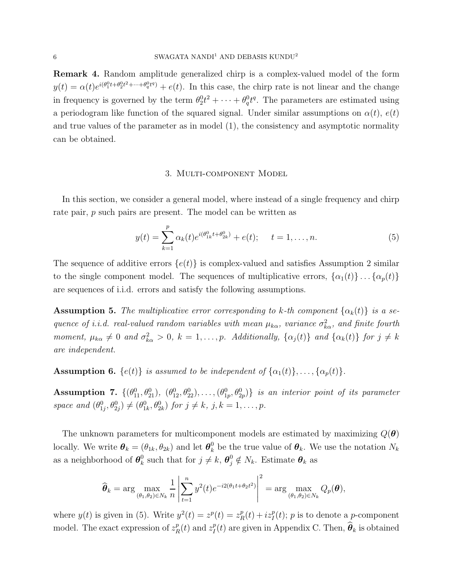Remark 4. Random amplitude generalized chirp is a complex-valued model of the form  $y(t) = \alpha(t)e^{i(\theta_1^0 t + \theta_2^0 t^2 + \dots + \theta_q^0 t^q)} + e(t)$ . In this case, the chirp rate is not linear and the change in frequency is governed by the term  $\theta_2^0 t^2 + \cdots + \theta_q^0 t^q$ . The parameters are estimated using a periodogram like function of the squared signal. Under similar assumptions on  $\alpha(t)$ ,  $e(t)$ and true values of the parameter as in model (1), the consistency and asymptotic normality can be obtained.

#### 3. Multi-component Model

In this section, we consider a general model, where instead of a single frequency and chirp rate pair, p such pairs are present. The model can be written as

$$
y(t) = \sum_{k=1}^{p} \alpha_k(t) e^{i(\theta_{1k}^0 t + \theta_{2k}^0)} + e(t); \quad t = 1, \dots, n.
$$
 (5)

The sequence of additive errors  $\{e(t)\}\$ is complex-valued and satisfies Assumption 2 similar to the single component model. The sequences of multiplicative errors,  $\{\alpha_1(t)\}\dots\{\alpha_p(t)\}\$ are sequences of i.i.d. errors and satisfy the following assumptions.

**Assumption 5.** The multiplicative error corresponding to k-th component  $\{\alpha_k(t)\}\$ is a sequence of *i.i.d.* real-valued random variables with mean  $\mu_{k\alpha}$ , variance  $\sigma_{k\alpha}^2$ , and finite fourth moment,  $\mu_{k\alpha} \neq 0$  and  $\sigma_{k\alpha}^2 > 0$ ,  $k = 1, \ldots, p$ . Additionally,  $\{\alpha_j(t)\}\$  and  $\{\alpha_k(t)\}\$  for  $j \neq k$ are independent.

**Assumption 6.**  $\{e(t)\}\$ is assumed to be independent of  $\{\alpha_1(t)\},\ldots,\{\alpha_p(t)\}\$ .

Assumption 7.  $\{(\theta_{11}^0, \theta_{21}^0), (\theta_{12}^0, \theta_{22}^0), \ldots, (\theta_{1p}^0, \theta_{2p}^0)\}\$ is an interior point of its parameter space and  $(\theta_{1j}^0, \theta_{2j}^0) \neq (\theta_{1k}^0, \theta_{2k}^0)$  for  $j \neq k, j, k = 1, ..., p$ .

The unknown parameters for multicomponent models are estimated by maximizing  $Q(\theta)$ locally. We write  $\theta_k = (\theta_{1k}, \theta_{2k})$  and let  $\theta_k^0$  be the true value of  $\theta_k$ . We use the notation  $N_k$ as a neighborhood of  $\theta_k^0$  such that for  $j \neq k$ ,  $\theta_j^0 \notin N_k$ . Estimate  $\theta_k$  as

$$
\widehat{\boldsymbol{\theta}}_k = \arg \max_{(\theta_1, \theta_2) \in N_k} \frac{1}{n} \left| \sum_{t=1}^n y^2(t) e^{-i2(\theta_1 t + \theta_2 t^2)} \right|^2 = \arg \max_{(\theta_1, \theta_2) \in N_k} Q_p(\boldsymbol{\theta}),
$$

where  $y(t)$  is given in (5). Write  $y^2(t) = z^p(t) = z_R^p$  $R_R^p(t) + iz_I^p(t);$  p is to denote a p-component model. The exact expression of  $z_R^p$  $\frac{p}{R}(t)$  and  $z_I^p$  $I_I^p(t)$  are given in Appendix C. Then,  $\widehat{\boldsymbol{\theta}}_k$  is obtained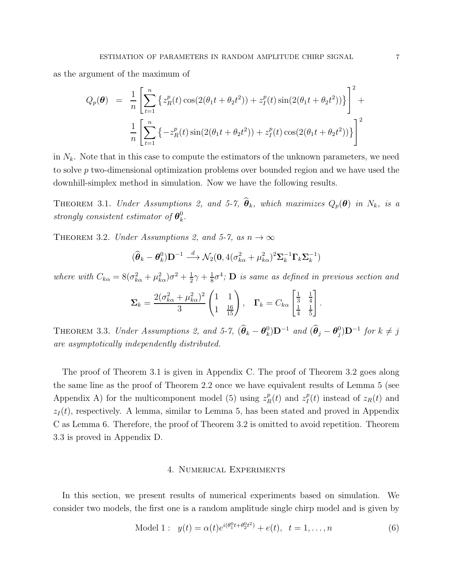as the argument of the maximum of

$$
Q_p(\theta) = \frac{1}{n} \left[ \sum_{t=1}^n \left\{ z_R^p(t) \cos(2(\theta_1 t + \theta_2 t^2)) + z_I^p(t) \sin(2(\theta_1 t + \theta_2 t^2)) \right\} \right]^2 +
$$
  

$$
\frac{1}{n} \left[ \sum_{t=1}^n \left\{ -z_R^p(t) \sin(2(\theta_1 t + \theta_2 t^2)) + z_I^p(t) \cos(2(\theta_1 t + \theta_2 t^2)) \right\} \right]^2
$$

in  $N_k$ . Note that in this case to compute the estimators of the unknown parameters, we need to solve p two-dimensional optimization problems over bounded region and we have used the downhill-simplex method in simulation. Now we have the following results.

THEOREM 3.1. Under Assumptions 2, and 5-7,  $\hat{\theta}_k$ , which maximizes  $Q_p(\theta)$  in  $N_k$ , is a strongly consistent estimator of  $\boldsymbol{\theta}_k^0$ .

THEOREM 3.2. Under Assumptions 2, and 5-7, as  $n \to \infty$ 

$$
(\widehat{\boldsymbol{\theta}}_k - \boldsymbol{\theta}_k^0)\mathbf{D}^{-1} \stackrel{d}{\longrightarrow} \mathcal{N}_2(\mathbf{0}, 4(\sigma_{k\alpha}^2 + \mu_{k\alpha}^2)^2\mathbf{\Sigma}_k^{-1}\mathbf{\Gamma}_k\mathbf{\Sigma}_k^{-1})
$$

where with  $C_{k\alpha} = 8(\sigma_{k\alpha}^2 + \mu_{k\alpha}^2)\sigma^2 + \frac{1}{2}$  $rac{1}{2}\gamma + \frac{1}{8}$  $\frac{1}{8} \sigma^4$ ; **D** is same as defined in previous section and

$$
\Sigma_k = \frac{2(\sigma_{k\alpha}^2 + \mu_{k\alpha}^2)^2}{3} \begin{pmatrix} 1 & 1 \\ 1 & \frac{16}{15} \end{pmatrix}, \quad \Gamma_k = C_{k\alpha} \begin{bmatrix} \frac{1}{3} & \frac{1}{4} \\ \frac{1}{4} & \frac{1}{5} \end{bmatrix}.
$$

THEOREM 3.3. Under Assumptions 2, and 5-7,  $(\widehat{\theta}_k - \theta_k^0)D^{-1}$  and  $(\widehat{\theta}_j - \theta_j^0)D^{-1}$  for  $k \neq j$ are asymptotically independently distributed.

The proof of Theorem 3.1 is given in Appendix C. The proof of Theorem 3.2 goes along the same line as the proof of Theorem 2.2 once we have equivalent results of Lemma 5 (see Appendix A) for the multicomponent model (5) using  $z_R^p$  $\frac{p}{R}(t)$  and  $z_I^p$  $I_I^p(t)$  instead of  $z_R(t)$  and  $z_I(t)$ , respectively. A lemma, similar to Lemma 5, has been stated and proved in Appendix C as Lemma 6. Therefore, the proof of Theorem 3.2 is omitted to avoid repetition. Theorem 3.3 is proved in Appendix D.

### 4. Numerical Experiments

In this section, we present results of numerical experiments based on simulation. We consider two models, the first one is a random amplitude single chirp model and is given by

Model 1: 
$$
y(t) = \alpha(t)e^{i(\theta_1^0 t + \theta_2^0 t^2)} + e(t), \quad t = 1, ..., n
$$
 (6)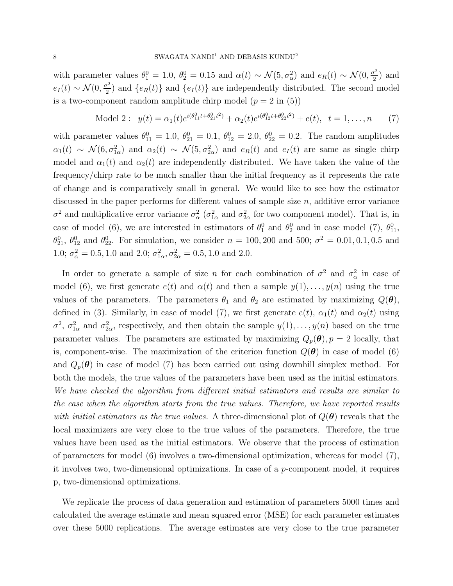with parameter values  $\theta_1^0 = 1.0$ ,  $\theta_2^0 = 0.15$  and  $\alpha(t) \sim \mathcal{N}(5, \sigma_\alpha^2)$  and  $e_R(t) \sim \mathcal{N}(0, \frac{\sigma^2}{2})$  $\frac{r^2}{2}$  and  $e_I(t) \sim \mathcal{N}(0, \frac{\sigma^2}{2})$  $\binom{2^2}{2}$  and  $\{e_R(t)\}\$  and  $\{e_I(t)\}\$  are independently distributed. The second model is a two-component random amplitude chirp model  $(p = 2 \text{ in } (5))$ 

Model 2: 
$$
y(t) = \alpha_1(t)e^{i(\theta_{11}^0 t + \theta_{21}^0 t^2)} + \alpha_2(t)e^{i(\theta_{12}^0 t + \theta_{22}^0 t^2)} + e(t), \quad t = 1, ..., n
$$
 (7)

with parameter values  $\theta_{11}^0 = 1.0, \ \theta_{21}^0 = 0.1, \ \theta_{12}^0 = 2.0, \ \theta_{22}^0 = 0.2$ . The random amplitudes  $\alpha_1(t) \sim \mathcal{N}(6, \sigma_{1\alpha}^2)$  and  $\alpha_2(t) \sim \mathcal{N}(5, \sigma_{2\alpha}^2)$  and  $e_R(t)$  and  $e_I(t)$  are same as single chirp model and  $\alpha_1(t)$  and  $\alpha_2(t)$  are independently distributed. We have taken the value of the frequency/chirp rate to be much smaller than the initial frequency as it represents the rate of change and is comparatively small in general. We would like to see how the estimator discussed in the paper performs for different values of sample size  $n$ , additive error variance  $\sigma^2$  and multiplicative error variance  $\sigma_\alpha^2$  ( $\sigma_{1\alpha}^2$  and  $\sigma_{2\alpha}^2$  for two component model). That is, in case of model (6), we are interested in estimators of  $\theta_1^0$  and  $\theta_2^0$  and in case model (7),  $\theta_{11}^0$ ,  $\theta_{21}^0$ ,  $\theta_{12}^0$  and  $\theta_{22}^0$ . For simulation, we consider  $n = 100, 200$  and 500;  $\sigma^2 = 0.01, 0.1, 0.5$  and 1.0;  $\sigma_{\alpha}^2 = 0.5, 1.0$  and 2.0;  $\sigma_{1\alpha}^2, \sigma_{2\alpha}^2 = 0.5, 1.0$  and 2.0.

In order to generate a sample of size n for each combination of  $\sigma^2$  and  $\sigma_\alpha^2$  in case of model (6), we first generate  $e(t)$  and  $\alpha(t)$  and then a sample  $y(1), \ldots, y(n)$  using the true values of the parameters. The parameters  $\theta_1$  and  $\theta_2$  are estimated by maximizing  $Q(\theta)$ , defined in (3). Similarly, in case of model (7), we first generate  $e(t)$ ,  $\alpha_1(t)$  and  $\alpha_2(t)$  using  $\sigma^2$ ,  $\sigma_{1\alpha}^2$  and  $\sigma_{2\alpha}^2$ , respectively, and then obtain the sample  $y(1), \ldots, y(n)$  based on the true parameter values. The parameters are estimated by maximizing  $Q_p(\theta)$ ,  $p = 2$  locally, that is, component-wise. The maximization of the criterion function  $Q(\theta)$  in case of model (6) and  $Q_p(\theta)$  in case of model (7) has been carried out using downhill simplex method. For both the models, the true values of the parameters have been used as the initial estimators. We have checked the algorithm from different initial estimators and results are similar to the case when the algorithm starts from the true values. Therefore, we have reported results with initial estimators as the true values. A three-dimensional plot of  $Q(\theta)$  reveals that the local maximizers are very close to the true values of the parameters. Therefore, the true values have been used as the initial estimators. We observe that the process of estimation of parameters for model (6) involves a two-dimensional optimization, whereas for model (7), it involves two, two-dimensional optimizations. In case of a p-component model, it requires p, two-dimensional optimizations.

We replicate the process of data generation and estimation of parameters 5000 times and calculated the average estimate and mean squared error (MSE) for each parameter estimates over these 5000 replications. The average estimates are very close to the true parameter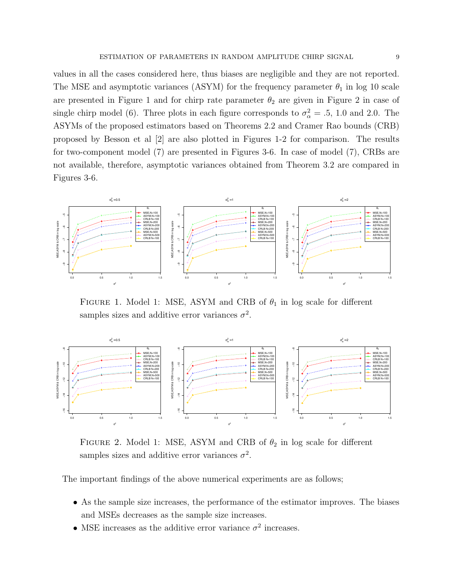values in all the cases considered here, thus biases are negligible and they are not reported. The MSE and asymptotic variances (ASYM) for the frequency parameter  $\theta_1$  in log 10 scale are presented in Figure 1 and for chirp rate parameter  $\theta_2$  are given in Figure 2 in case of single chirp model (6). Three plots in each figure corresponds to  $\sigma_{\alpha}^2 = .5, 1.0$  and 2.0. The ASYMs of the proposed estimators based on Theorems 2.2 and Cramer Rao bounds (CRB) proposed by Besson et al [2] are also plotted in Figures 1-2 for comparison. The results for two-component model (7) are presented in Figures 3-6. In case of model (7), CRBs are not available, therefore, asymptotic variances obtained from Theorem 3.2 are compared in Figures 3-6.



FIGURE 1. Model 1: MSE, ASYM and CRB of  $\theta_1$  in log scale for different samples sizes and additive error variances  $\sigma^2$ .



FIGURE 2. Model 1: MSE, ASYM and CRB of  $\theta_2$  in log scale for different samples sizes and additive error variances  $\sigma^2$ .

The important findings of the above numerical experiments are as follows;

- As the sample size increases, the performance of the estimator improves. The biases and MSEs decreases as the sample size increases.
- MSE increases as the additive error variance  $\sigma^2$  increases.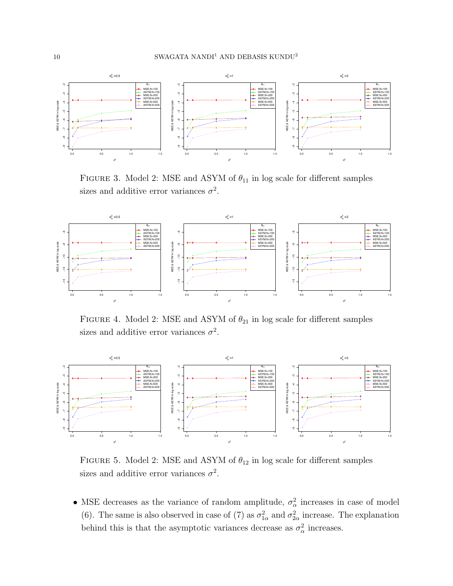

FIGURE 3. Model 2: MSE and ASYM of  $\theta_{11}$  in log scale for different samples sizes and additive error variances  $\sigma^2$ .



FIGURE 4. Model 2: MSE and ASYM of  $\theta_{21}$  in log scale for different samples sizes and additive error variances  $\sigma^2$ .



FIGURE 5. Model 2: MSE and ASYM of  $\theta_{12}$  in log scale for different samples sizes and additive error variances  $\sigma^2$ .

• MSE decreases as the variance of random amplitude,  $\sigma_{\alpha}^2$  increases in case of model (6). The same is also observed in case of (7) as  $\sigma_{1\alpha}^2$  and  $\sigma_{2\alpha}^2$  increase. The explanation behind this is that the asymptotic variances decrease as  $\sigma_{\alpha}^2$  increases.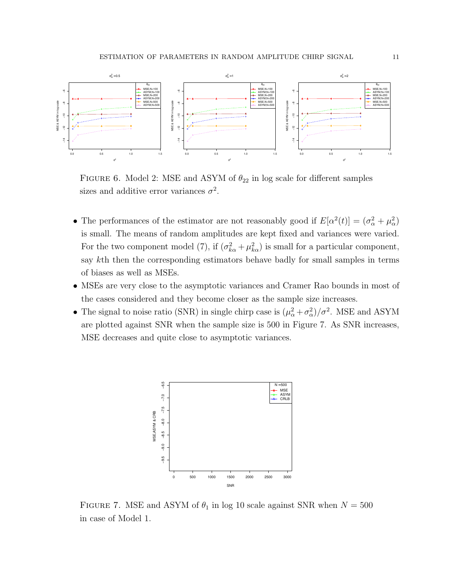

FIGURE 6. Model 2: MSE and ASYM of  $\theta_{22}$  in log scale for different samples sizes and additive error variances  $\sigma^2$ .

- The performances of the estimator are not reasonably good if  $E[\alpha^2(t)] = (\sigma_\alpha^2 + \mu_\alpha^2)$ is small. The means of random amplitudes are kept fixed and variances were varied. For the two component model (7), if  $(\sigma_{k\alpha}^2 + \mu_{k\alpha}^2)$  is small for a particular component, say kth then the corresponding estimators behave badly for small samples in terms of biases as well as MSEs.
- MSEs are very close to the asymptotic variances and Cramer Rao bounds in most of the cases considered and they become closer as the sample size increases.
- The signal to noise ratio (SNR) in single chirp case is  $(\mu_{\alpha}^2 + \sigma_{\alpha}^2)/\sigma^2$ . MSE and ASYM are plotted against SNR when the sample size is 500 in Figure 7. As SNR increases, MSE decreases and quite close to asymptotic variances.



FIGURE 7. MSE and ASYM of  $\theta_1$  in log 10 scale against SNR when  $N = 500$ in case of Model 1.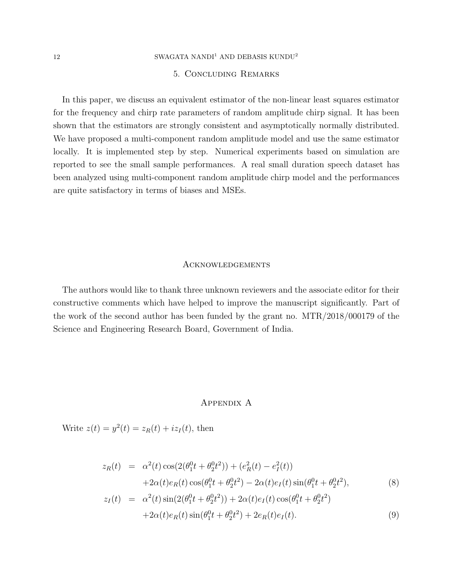### 12 SWAGATA NANDI $^1$  AND DEBASIS KUNDU $^2$

## 5. Concluding Remarks

In this paper, we discuss an equivalent estimator of the non-linear least squares estimator for the frequency and chirp rate parameters of random amplitude chirp signal. It has been shown that the estimators are strongly consistent and asymptotically normally distributed. We have proposed a multi-component random amplitude model and use the same estimator locally. It is implemented step by step. Numerical experiments based on simulation are reported to see the small sample performances. A real small duration speech dataset has been analyzed using multi-component random amplitude chirp model and the performances are quite satisfactory in terms of biases and MSEs.

#### Acknowledgements

The authors would like to thank three unknown reviewers and the associate editor for their constructive comments which have helped to improve the manuscript significantly. Part of the work of the second author has been funded by the grant no. MTR/2018/000179 of the Science and Engineering Research Board, Government of India.

#### Appendix A

Write  $z(t) = y^2(t) = z_R(t) + iz_I(t)$ , then

$$
z_R(t) = \alpha^2(t) \cos(2(\theta_1^0 t + \theta_2^0 t^2)) + (e_R^2(t) - e_I^2(t))
$$
  
+2\alpha(t)e\_R(t) \cos(\theta\_1^0 t + \theta\_2^0 t^2) - 2\alpha(t)e\_I(t) \sin(\theta\_1^0 t + \theta\_2^0 t^2),  

$$
z_I(t) = \alpha^2(t) \sin(2(\theta_1^0 t + \theta_2^0 t^2)) + 2\alpha(t)e_I(t) \cos(\theta_1^0 t + \theta_2^0 t^2)
$$
  
+2\alpha(t)e\_R(t) \sin(\theta\_1^0 t + \theta\_2^0 t^2) + 2e\_R(t)e\_I(t). (9)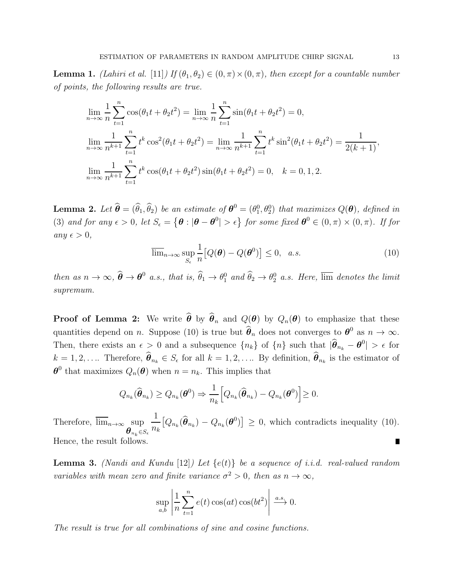**Lemma 1.** (Lahiri et al. [11]) If  $(\theta_1, \theta_2) \in (0, \pi) \times (0, \pi)$ , then except for a countable number of points, the following results are true.

$$
\lim_{n \to \infty} \frac{1}{n} \sum_{t=1}^{n} \cos(\theta_1 t + \theta_2 t^2) = \lim_{n \to \infty} \frac{1}{n} \sum_{t=1}^{n} \sin(\theta_1 t + \theta_2 t^2) = 0,
$$
\n
$$
\lim_{n \to \infty} \frac{1}{n^{k+1}} \sum_{t=1}^{n} t^k \cos^2(\theta_1 t + \theta_2 t^2) = \lim_{n \to \infty} \frac{1}{n^{k+1}} \sum_{t=1}^{n} t^k \sin^2(\theta_1 t + \theta_2 t^2) = \frac{1}{2(k+1)},
$$
\n
$$
\lim_{n \to \infty} \frac{1}{n^{k+1}} \sum_{t=1}^{n} t^k \cos(\theta_1 t + \theta_2 t^2) \sin(\theta_1 t + \theta_2 t^2) = 0, \quad k = 0, 1, 2.
$$

**Lemma 2.** Let  $\widehat{\boldsymbol{\theta}} = (\widehat{\theta}_1, \widehat{\theta}_2)$  be an estimate of  $\boldsymbol{\theta}^0 = (\theta_1^0, \theta_2^0)$  that maximizes  $Q(\boldsymbol{\theta})$ , defined in (3) and for any  $\epsilon > 0$ , let  $S_{\epsilon} = \{ \theta : |\theta - \theta^0| > \epsilon \}$  for some fixed  $\theta^0 \in (0, \pi) \times (0, \pi)$ . If for any  $\epsilon > 0$ ,

$$
\overline{\lim}_{n \to \infty} \sup_{S_{\epsilon}} \frac{1}{n} \big[ Q(\boldsymbol{\theta}) - Q(\boldsymbol{\theta}^{0}) \big] \le 0, \quad a.s.
$$
\n(10)

then as  $n \to \infty$ ,  $\widehat{\boldsymbol{\theta}} \to \boldsymbol{\theta}^0$  a.s., that is,  $\widehat{\theta}_1 \to \theta_1^0$  and  $\widehat{\theta}_2 \to \theta_2^0$  a.s. Here,  $\overline{\lim}$  denotes the limit supremum.

**Proof of Lemma 2:** We write  $\hat{\theta}$  by  $\hat{\theta}_n$  and  $Q(\theta)$  by  $Q_n(\theta)$  to emphasize that these quantities depend on n. Suppose (10) is true but  $\hat{\theta}_n$  does not converges to  $\theta^0$  as  $n \to \infty$ . Then, there exists an  $\epsilon > 0$  and a subsequence  $\{n_k\}$  of  $\{n\}$  such that  $|\hat{\theta}_{n_k} - \theta^0| > \epsilon$  for  $k = 1, 2, \ldots$  Therefore,  $\widehat{\theta}_{n_k} \in S_{\epsilon}$  for all  $k = 1, 2, \ldots$  By definition,  $\widehat{\theta}_{n_k}$  is the estimator of  $\boldsymbol{\theta}^0$  that maximizes  $Q_n(\boldsymbol{\theta})$  when  $n = n_k$ . This implies that

$$
Q_{n_k}(\widehat{\boldsymbol{\theta}}_{n_k}) \geq Q_{n_k}(\boldsymbol{\theta}^0) \Rightarrow \frac{1}{n_k} \Big[ Q_{n_k}(\widehat{\boldsymbol{\theta}}_{n_k}) - Q_{n_k}(\boldsymbol{\theta}^0) \Big] \geq 0.
$$

Therefore,  $\lim_{n\to\infty}$  sup  $\stackrel{\_}{\theta}_{n_k} \in S_{\epsilon}$ 1  $n_k$  $[Q_{n_k}(\hat{\theta}_{n_k}) - Q_{n_k}(\theta^0)] \geq 0$ , which contradicts inequality (10). Hence, the result follows.

**Lemma 3.** (Nandi and Kundu [12]) Let  $\{e(t)\}\$  be a sequence of i.i.d. real-valued random variables with mean zero and finite variance  $\sigma^2 > 0$ , then as  $n \to \infty$ ,

$$
\sup_{a,b} \left| \frac{1}{n} \sum_{t=1}^{n} e(t) \cos(at) \cos(bt^2) \right| \xrightarrow{a.s.} 0.
$$

The result is true for all combinations of sine and cosine functions.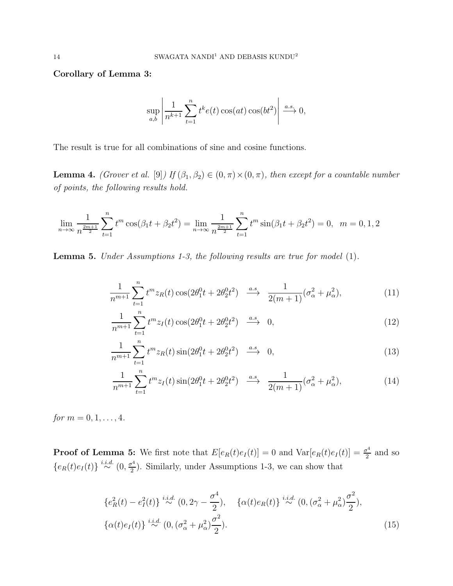Corollary of Lemma 3:

$$
\sup_{a,b} \left| \frac{1}{n^{k+1}} \sum_{t=1}^n t^k e(t) \cos(at) \cos(bt^2) \right| \xrightarrow{a.s.} 0,
$$

The result is true for all combinations of sine and cosine functions.

**Lemma 4.** (Grover et al. [9]) If  $(\beta_1, \beta_2) \in (0, \pi) \times (0, \pi)$ , then except for a countable number of points, the following results hold.

$$
\lim_{n \to \infty} \frac{1}{n^{\frac{2m+1}{2}}} \sum_{t=1}^{n} t^m \cos(\beta_1 t + \beta_2 t^2) = \lim_{n \to \infty} \frac{1}{n^{\frac{2m+1}{2}}} \sum_{t=1}^{n} t^m \sin(\beta_1 t + \beta_2 t^2) = 0, \quad m = 0, 1, 2
$$

Lemma 5. Under Assumptions 1-3, the following results are true for model (1).

$$
\frac{1}{n^{m+1}} \sum_{t=1}^{n} t^m z_R(t) \cos(2\theta_1^0 t + 2\theta_2^0 t^2) \xrightarrow{a.s} \frac{1}{2(m+1)} (\sigma_\alpha^2 + \mu_\alpha^2), \tag{11}
$$

$$
\frac{1}{n^{m+1}} \sum_{t=1}^{n} t^m z_I(t) \cos(2\theta_1^0 t + 2\theta_2^0 t^2) \xrightarrow{a.s} 0,
$$
\n(12)

$$
\frac{1}{n^{m+1}} \sum_{t=1}^{n} t^m z_R(t) \sin(2\theta_1^0 t + 2\theta_2^0 t^2) \xrightarrow{a.s} 0,
$$
\n(13)

$$
\frac{1}{n^{m+1}} \sum_{t=1}^{n} t^m z_I(t) \sin(2\theta_1^0 t + 2\theta_2^0 t^2) \xrightarrow{a.s} \frac{1}{2(m+1)} (\sigma_\alpha^2 + \mu_\alpha^2), \tag{14}
$$

*for*  $m = 0, 1, ..., 4$ .

**Proof of Lemma 5:** We first note that  $E[e_R(t)e_I(t)] = 0$  and  $Var[e_R(t)e_I(t)] = \frac{\sigma^4}{2}$  $\frac{\sigma^4}{2}$  and so  ${e_R(t)e_I(t)} \stackrel{i.i.d.}{\sim} (0, \frac{\sigma^4}{2})$  $\frac{p^2}{2}$ ). Similarly, under Assumptions 1-3, we can show that

$$
\{e_R^2(t) - e_I^2(t)\} \stackrel{i.i.d.}{\sim} (0, 2\gamma - \frac{\sigma^4}{2}), \quad \{\alpha(t)e_R(t)\} \stackrel{i.i.d.}{\sim} (0, (\sigma_\alpha^2 + \mu_\alpha^2)\frac{\sigma^2}{2}),
$$
  

$$
\{\alpha(t)e_I(t)\} \stackrel{i.i.d.}{\sim} (0, (\sigma_\alpha^2 + \mu_\alpha^2)\frac{\sigma^2}{2}).
$$
 (15)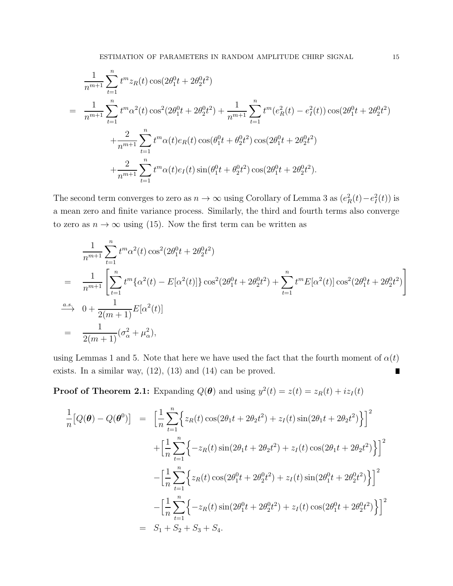$$
\frac{1}{n^{m+1}} \sum_{t=1}^{n} t^m z_R(t) \cos(2\theta_1^0 t + 2\theta_2^0 t^2)
$$
\n
$$
= \frac{1}{n^{m+1}} \sum_{t=1}^{n} t^m \alpha^2(t) \cos^2(2\theta_1^0 t + 2\theta_2^0 t^2) + \frac{1}{n^{m+1}} \sum_{t=1}^{n} t^m (e_R^2(t) - e_I^2(t)) \cos(2\theta_1^0 t + 2\theta_2^0 t^2)
$$
\n
$$
+ \frac{2}{n^{m+1}} \sum_{t=1}^{n} t^m \alpha(t) e_R(t) \cos(\theta_1^0 t + \theta_2^0 t^2) \cos(2\theta_1^0 t + 2\theta_2^0 t^2)
$$
\n
$$
+ \frac{2}{n^{m+1}} \sum_{t=1}^{n} t^m \alpha(t) e_I(t) \sin(\theta_1^0 t + \theta_2^0 t^2) \cos(2\theta_1^0 t + 2\theta_2^0 t^2).
$$

The second term converges to zero as  $n \to \infty$  using Corollary of Lemma 3 as  $(e_R^2(t) - e_I^2(t))$  is a mean zero and finite variance process. Similarly, the third and fourth terms also converge to zero as  $n \to \infty$  using (15). Now the first term can be written as

$$
\frac{1}{n^{m+1}} \sum_{t=1}^{n} t^{m} \alpha^{2}(t) \cos^{2}(2\theta_{1}^{0}t + 2\theta_{2}^{0}t^{2})
$$
\n
$$
= \frac{1}{n^{m+1}} \left[ \sum_{t=1}^{n} t^{m} \{ \alpha^{2}(t) - E[\alpha^{2}(t)] \} \cos^{2}(2\theta_{1}^{0}t + 2\theta_{2}^{0}t^{2}) + \sum_{t=1}^{n} t^{m} E[\alpha^{2}(t)] \cos^{2}(2\theta_{1}^{0}t + 2\theta_{2}^{0}t^{2}) \right]
$$
\n
$$
\xrightarrow{a.s.} 0 + \frac{1}{2(m+1)} E[\alpha^{2}(t)]
$$
\n
$$
= \frac{1}{2(m+1)} (\sigma_{\alpha}^{2} + \mu_{\alpha}^{2}),
$$

using Lemmas 1 and 5. Note that here we have used the fact that the fourth moment of  $\alpha(t)$ exists. In a similar way, (12), (13) and (14) can be proved.  $\blacksquare$ 

**Proof of Theorem 2.1:** Expanding  $Q(\theta)$  and using  $y^2(t) = z(t) = z_R(t) + iz_I(t)$ 

$$
\frac{1}{n} [Q(\theta) - Q(\theta^{0})] = \left[ \frac{1}{n} \sum_{t=1}^{n} \left\{ z_{R}(t) \cos(2\theta_{1}t + 2\theta_{2}t^{2}) + z_{I}(t) \sin(2\theta_{1}t + 2\theta_{2}t^{2}) \right\} \right]^{2}
$$
  
+ 
$$
\left[ \frac{1}{n} \sum_{t=1}^{n} \left\{ -z_{R}(t) \sin(2\theta_{1}t + 2\theta_{2}t^{2}) + z_{I}(t) \cos(2\theta_{1}t + 2\theta_{2}t^{2}) \right\} \right]^{2}
$$
  
- 
$$
\left[ \frac{1}{n} \sum_{t=1}^{n} \left\{ z_{R}(t) \cos(2\theta_{1}^{0}t + 2\theta_{2}^{0}t^{2}) + z_{I}(t) \sin(2\theta_{1}^{0}t + 2\theta_{2}^{0}t^{2}) \right\} \right]^{2}
$$
  
- 
$$
\left[ \frac{1}{n} \sum_{t=1}^{n} \left\{ -z_{R}(t) \sin(2\theta_{1}^{0}t + 2\theta_{2}^{0}t^{2}) + z_{I}(t) \cos(2\theta_{1}^{0}t + 2\theta_{2}^{0}t^{2}) \right\} \right]^{2}
$$
  
= 
$$
S_{1} + S_{2} + S_{3} + S_{4}.
$$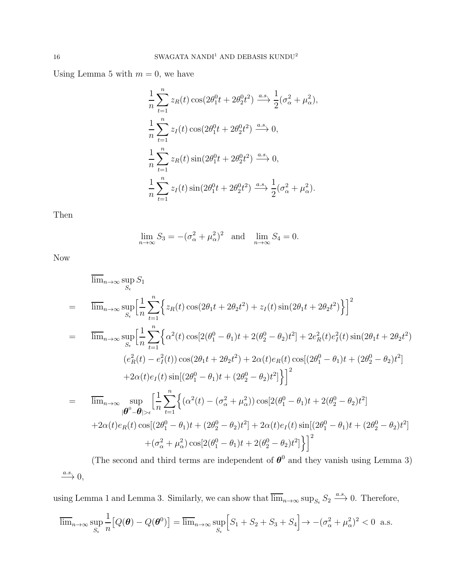Using Lemma 5 with  $m = 0$ , we have

$$
\frac{1}{n}\sum_{t=1}^{n}z_R(t)\cos(2\theta_1^0 t + 2\theta_2^0 t^2) \xrightarrow{a.s.} \frac{1}{2}(\sigma_\alpha^2 + \mu_\alpha^2),
$$
  

$$
\frac{1}{n}\sum_{t=1}^{n}z_I(t)\cos(2\theta_1^0 t + 2\theta_2^0 t^2) \xrightarrow{a.s.} 0,
$$
  

$$
\frac{1}{n}\sum_{t=1}^{n}z_R(t)\sin(2\theta_1^0 t + 2\theta_2^0 t^2) \xrightarrow{a.s.} 0,
$$
  

$$
\frac{1}{n}\sum_{t=1}^{n}z_I(t)\sin(2\theta_1^0 t + 2\theta_2^0 t^2) \xrightarrow{a.s.} \frac{1}{2}(\sigma_\alpha^2 + \mu_\alpha^2).
$$

Then

$$
\lim_{n \to \infty} S_3 = -(\sigma_\alpha^2 + \mu_\alpha^2)^2 \quad \text{and} \quad \lim_{n \to \infty} S_4 = 0.
$$

Now

$$
\lim_{n\to\infty} \sup_{S_{\epsilon}} S_{1}
$$
\n
$$
= \lim_{n\to\infty} \sup_{S_{\epsilon}} \left[ \frac{1}{n} \sum_{t=1}^{n} \left\{ z_{R}(t) \cos(2\theta_{1}t + 2\theta_{2}t^{2}) + z_{I}(t) \sin(2\theta_{1}t + 2\theta_{2}t^{2}) \right\} \right]^{2}
$$
\n
$$
= \lim_{n\to\infty} \sup_{S_{\epsilon}} \left[ \frac{1}{n} \sum_{t=1}^{n} \left\{ \alpha^{2}(t) \cos[2(\theta_{1}^{0} - \theta_{1})t + 2(\theta_{2}^{0} - \theta_{2})t^{2}] + 2e_{R}^{2}(t)e_{I}^{2}(t) \sin(2\theta_{1}t + 2\theta_{2}t^{2}) \right. \right.
$$
\n
$$
(e_{R}^{2}(t) - e_{I}^{2}(t)) \cos(2\theta_{1}t + 2\theta_{2}t^{2}) + 2\alpha(t)e_{R}(t) \cos[(2\theta_{1}^{0} - \theta_{1})t + (2\theta_{2}^{0} - \theta_{2})t^{2}]
$$
\n
$$
+ 2\alpha(t)e_{I}(t) \sin[(2\theta_{1}^{0} - \theta_{1})t + (2\theta_{2}^{0} - \theta_{2})t^{2}] \right]^{2}
$$
\n
$$
= \lim_{n\to\infty} \sup_{|\theta^{0} - \theta| > \epsilon} \left[ \frac{1}{n} \sum_{t=1}^{n} \left\{ (\alpha^{2}(t) - (\sigma_{\alpha}^{2} + \mu_{\alpha}^{2})) \cos[2(\theta_{1}^{0} - \theta_{1})t + 2(\theta_{2}^{0} - \theta_{2})t^{2}] + 2\alpha(t)e_{R}(t) \cos[(2\theta_{1}^{0} - \theta_{1})t + (2\theta_{2}^{0} - \theta_{2})t^{2}] + (\sigma_{\alpha}^{2} + \mu_{\alpha}^{2}) \cos[2(\theta_{1}^{0} - \theta_{1})t + (2\theta_{2}^{0} - \theta_{2})t^{2}] \right]^{2}
$$

(The second and third terms are independent of  $\theta^0$  and they vanish using Lemma 3)  $\xrightarrow{a.s.} 0,$ 

using Lemma 1 and Lemma 3. Similarly, we can show that  $\overline{\lim}_{n\to\infty}$  sup<sub>S<sub>ε</sub></sub>  $S_2 \stackrel{a.s.}{\longrightarrow} 0$ . Therefore,

$$
\overline{\lim}_{n\to\infty} \sup_{S_{\epsilon}} \frac{1}{n} \big[ Q(\boldsymbol{\theta}) - Q(\boldsymbol{\theta}^0) \big] = \overline{\lim}_{n\to\infty} \sup_{S_{\epsilon}} \Big[ S_1 + S_2 + S_3 + S_4 \Big] \to -(\sigma_{\alpha}^2 + \mu_{\alpha}^2)^2 < 0 \quad \text{a.s.}
$$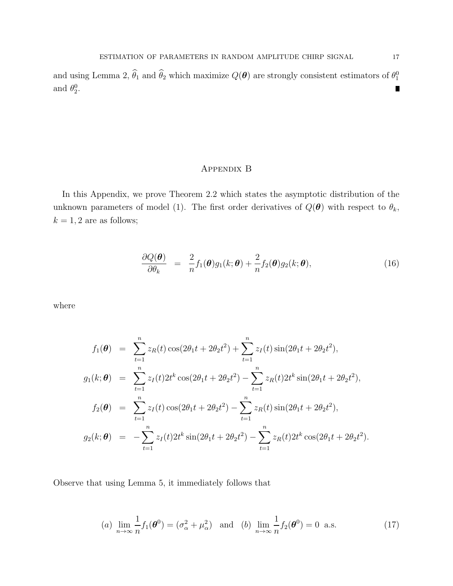and using Lemma 2,  $\widehat{\theta}_1$  and  $\widehat{\theta}_2$  which maximize  $Q(\theta)$  are strongly consistent estimators of  $\theta_1^0$ and  $\theta_2^0$ .  $\blacksquare$ 

## Appendix B

In this Appendix, we prove Theorem 2.2 which states the asymptotic distribution of the unknown parameters of model (1). The first order derivatives of  $Q(\theta)$  with respect to  $\theta_k$ ,  $k = 1, 2$  are as follows;

$$
\frac{\partial Q(\boldsymbol{\theta})}{\partial \theta_k} = \frac{2}{n} f_1(\boldsymbol{\theta}) g_1(k; \boldsymbol{\theta}) + \frac{2}{n} f_2(\boldsymbol{\theta}) g_2(k; \boldsymbol{\theta}), \qquad (16)
$$

where

$$
f_1(\theta) = \sum_{t=1}^n z_R(t) \cos(2\theta_1 t + 2\theta_2 t^2) + \sum_{t=1}^n z_I(t) \sin(2\theta_1 t + 2\theta_2 t^2),
$$
  
\n
$$
g_1(k; \theta) = \sum_{t=1}^n z_I(t) 2t^k \cos(2\theta_1 t + 2\theta_2 t^2) - \sum_{t=1}^n z_R(t) 2t^k \sin(2\theta_1 t + 2\theta_2 t^2),
$$
  
\n
$$
f_2(\theta) = \sum_{t=1}^n z_I(t) \cos(2\theta_1 t + 2\theta_2 t^2) - \sum_{t=1}^n z_R(t) \sin(2\theta_1 t + 2\theta_2 t^2),
$$
  
\n
$$
g_2(k; \theta) = -\sum_{t=1}^n z_I(t) 2t^k \sin(2\theta_1 t + 2\theta_2 t^2) - \sum_{t=1}^n z_R(t) 2t^k \cos(2\theta_1 t + 2\theta_2 t^2).
$$

Observe that using Lemma 5, it immediately follows that

(a) 
$$
\lim_{n \to \infty} \frac{1}{n} f_1(\boldsymbol{\theta}^0) = (\sigma_\alpha^2 + \mu_\alpha^2)
$$
 and (b)  $\lim_{n \to \infty} \frac{1}{n} f_2(\boldsymbol{\theta}^0) = 0$  a.s. (17)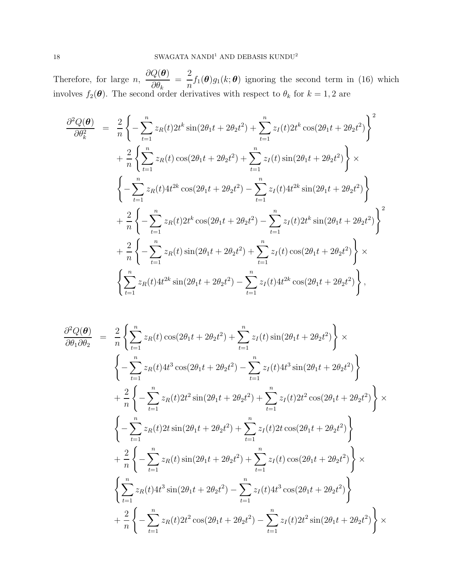Therefore, for large  $n$ ,  $\partial Q(\boldsymbol{\theta})$  $\partial \theta_k$ = 2  $\frac{2}{n} f_1(\boldsymbol{\theta}) g_1(k; \boldsymbol{\theta})$  ignoring the second term in (16) which involves  $f_2(\boldsymbol{\theta})$ . The second order derivatives with respect to  $\theta_k$  for  $k = 1, 2$  are

$$
\frac{\partial^2 Q(\theta)}{\partial \theta_k^2} = \frac{2}{n} \left\{ -\sum_{t=1}^n z_R(t) 2t^k \sin(2\theta_1 t + 2\theta_2 t^2) + \sum_{t=1}^n z_I(t) 2t^k \cos(2\theta_1 t + 2\theta_2 t^2) \right\}^2
$$
  
+ 
$$
\frac{2}{n} \left\{ \sum_{t=1}^n z_R(t) \cos(2\theta_1 t + 2\theta_2 t^2) + \sum_{t=1}^n z_I(t) \sin(2\theta_1 t + 2\theta_2 t^2) \right\} \times
$$
  

$$
\left\{ -\sum_{t=1}^n z_R(t) 4t^{2k} \cos(2\theta_1 t + 2\theta_2 t^2) - \sum_{t=1}^n z_I(t) 4t^{2k} \sin(2\theta_1 t + 2\theta_2 t^2) \right\}
$$
  
+ 
$$
\frac{2}{n} \left\{ -\sum_{t=1}^n z_R(t) 2t^k \cos(2\theta_1 t + 2\theta_2 t^2) - \sum_{t=1}^n z_I(t) 2t^k \sin(2\theta_1 t + 2\theta_2 t^2) \right\}^2
$$
  
+ 
$$
\frac{2}{n} \left\{ -\sum_{t=1}^n z_R(t) \sin(2\theta_1 t + 2\theta_2 t^2) + \sum_{t=1}^n z_I(t) \cos(2\theta_1 t + 2\theta_2 t^2) \right\} \times
$$
  

$$
\left\{ \sum_{t=1}^n z_R(t) 4t^{2k} \sin(2\theta_1 t + 2\theta_2 t^2) - \sum_{t=1}^n z_I(t) 4t^{2k} \cos(2\theta_1 t + 2\theta_2 t^2) \right\},
$$

$$
\frac{\partial^2 Q(\theta)}{\partial \theta_1 \partial \theta_2} = \frac{2}{n} \left\{ \sum_{t=1}^n z_R(t) \cos(2\theta_1 t + 2\theta_2 t^2) + \sum_{t=1}^n z_I(t) \sin(2\theta_1 t + 2\theta_2 t^2) \right\} \times \n\left\{ - \sum_{t=1}^n z_R(t) 4t^3 \cos(2\theta_1 t + 2\theta_2 t^2) - \sum_{t=1}^n z_I(t) 4t^3 \sin(2\theta_1 t + 2\theta_2 t^2) \right\} \n+ \frac{2}{n} \left\{ - \sum_{t=1}^n z_R(t) 2t^2 \sin(2\theta_1 t + 2\theta_2 t^2) + \sum_{t=1}^n z_I(t) 2t^2 \cos(2\theta_1 t + 2\theta_2 t^2) \right\} \times \n\left\{ - \sum_{t=1}^n z_R(t) 2t \sin(2\theta_1 t + 2\theta_2 t^2) + \sum_{t=1}^n z_I(t) 2t \cos(2\theta_1 t + 2\theta_2 t^2) \right\} \n+ \frac{2}{n} \left\{ - \sum_{t=1}^n z_R(t) \sin(2\theta_1 t + 2\theta_2 t^2) + \sum_{t=1}^n z_I(t) \cos(2\theta_1 t + 2\theta_2 t^2) \right\} \times \n\left\{ \sum_{t=1}^n z_R(t) 4t^3 \sin(2\theta_1 t + 2\theta_2 t^2) - \sum_{t=1}^n z_I(t) 4t^3 \cos(2\theta_1 t + 2\theta_2 t^2) \right\} \n+ \frac{2}{n} \left\{ - \sum_{t=1}^n z_R(t) 2t^2 \cos(2\theta_1 t + 2\theta_2 t^2) - \sum_{t=1}^n z_I(t) 2t^2 \sin(2\theta_1 t + 2\theta_2 t^2) \right\} \times
$$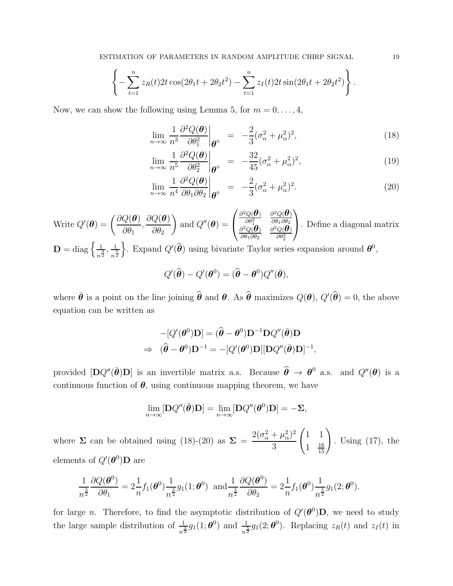$$
\left\{-\sum_{t=1}^{n} z_R(t) 2t \cos(2\theta_1 t + 2\theta_2 t^2) - \sum_{t=1}^{n} z_I(t) 2t \sin(2\theta_1 t + 2\theta_2 t^2)\right\}
$$

Now, we can show the following using Lemma 5, for  $m = 0, \ldots, 4$ ,

$$
\lim_{n \to \infty} \frac{1}{n^3} \frac{\partial^2 Q(\boldsymbol{\theta})}{\partial \theta_1^2} \bigg|_{\boldsymbol{\theta}^0} = -\frac{2}{3} (\sigma_\alpha^2 + \mu_\alpha^2)^2, \tag{18}
$$

$$
\lim_{n \to \infty} \frac{1}{n^5} \frac{\partial^2 Q(\boldsymbol{\theta})}{\partial \theta_2^2} \bigg|_{\boldsymbol{\theta}^0} = -\frac{32}{45} (\sigma_\alpha^2 + \mu_\alpha^2)^2, \tag{19}
$$

$$
\lim_{n \to \infty} \frac{1}{n^4} \frac{\partial^2 Q(\boldsymbol{\theta})}{\partial \theta_1 \partial \theta_2} \bigg|_{\boldsymbol{\theta}^0} = -\frac{2}{3} (\sigma_\alpha^2 + \mu_\alpha^2)^2.
$$
 (20)

Write  $Q'(\boldsymbol{\theta}) = \begin{pmatrix} \frac{\partial Q(\boldsymbol{\theta})}{\partial \theta} \end{pmatrix}$  $\partial\theta_1$ ,  $\partial Q(\boldsymbol{\theta})$  $\partial\theta_2$  $\setminus$ and  $Q''(\boldsymbol{\theta}) =$  $\sqrt{ }$  $\mathbf{I}$  $\partial^2 Q(\boldsymbol{\theta})$  $\partial \theta _{1}^{2}$  $\partial^2 Q(\boldsymbol{\theta})$  $\partial\theta_1\partial\theta_2$  $\stackrel{\sim}{\partial^2} \stackrel{\cdot}{Q} \stackrel{\cdot}{(\bm{\theta})}$  $\partial\theta_1\partial\theta_2$  $\overset{\circ}{\partial^2} Q(\stackrel{\bullet}{\bm{\theta}})$  $\partial \theta _2^2$  $\setminus$ . Define a diagonal matrix  $\mathbf{D} = \text{diag} \left\{ \frac{1}{\sigma} \right\}$  $\frac{1}{n^{\frac{3}{2}}}, \frac{1}{n^{\frac{1}{2}}}$  $n^{\frac{5}{2}}$ Expand  $Q'(\widehat{\boldsymbol{\theta}})$  using bivariate Taylor series expansion around  $\boldsymbol{\theta}^0$ ,

$$
Q'(\widehat{\boldsymbol{\theta}}) - Q'(\boldsymbol{\theta}^0) = (\widehat{\boldsymbol{\theta}} - \boldsymbol{\theta}^0) Q''(\overline{\boldsymbol{\theta}}),
$$

where  $\bar{\theta}$  is a point on the line joining  $\hat{\theta}$  and  $\theta$ . As  $\hat{\theta}$  maximizes  $Q(\theta)$ ,  $Q'(\hat{\theta}) = 0$ , the above equation can be written as

$$
-[Q'(\boldsymbol{\theta}^0)\mathbf{D}] = (\widehat{\boldsymbol{\theta}} - \boldsymbol{\theta}^0)\mathbf{D}^{-1}\mathbf{D}Q''(\bar{\boldsymbol{\theta}})\mathbf{D}
$$

$$
\Rightarrow (\widehat{\boldsymbol{\theta}} - \boldsymbol{\theta}^0)\mathbf{D}^{-1} = -[Q'(\boldsymbol{\theta}^0)\mathbf{D}][\mathbf{D}Q''(\bar{\boldsymbol{\theta}})\mathbf{D}]^{-1},
$$

provided  $[DQ''(\bar{\theta})D]$  is an invertible matrix a.s. Because  $\hat{\theta} \to \theta^0$  a.s. and  $Q''(\theta)$  is a continuous function of  $\theta$ , using continuous mapping theorem, we have

$$
\lim_{n\to\infty}[\mathbf{D}Q''(\bar{\boldsymbol{\theta}})\mathbf{D}] = \lim_{n\to\infty}[\mathbf{D}Q''(\boldsymbol{\theta}^0)\mathbf{D}] = -\boldsymbol{\Sigma},
$$

where  $\Sigma$  can be obtained using (18)-(20) as  $\Sigma = \frac{2(\sigma_{\alpha}^2 + \mu_{\alpha}^2)^2}{2}$ 3  $\begin{pmatrix} 1 & 1 \end{pmatrix}$ 1  $\frac{16}{15}$  $\begin{pmatrix} 1 \\ \frac{16}{15} \end{pmatrix}$ . Using (17), the elements of  $Q'(\boldsymbol{\theta}^0)$ D are

$$
\frac{1}{n^{\frac{3}{2}}}\frac{\partial Q(\boldsymbol{\theta}^{0})}{\partial \theta_{1}}=2\frac{1}{n}f_{1}(\boldsymbol{\theta}^{0})\frac{1}{n^{\frac{3}{2}}}g_{1}(1;\boldsymbol{\theta}^{0})\ \ \text{and}\ \frac{1}{n^{\frac{5}{2}}}\frac{\partial Q(\boldsymbol{\theta}^{0})}{\partial \theta_{2}}=2\frac{1}{n}f_{1}(\boldsymbol{\theta}^{0})\frac{1}{n^{\frac{5}{2}}}g_{1}(2;\boldsymbol{\theta}^{0}).
$$

for large *n*. Therefore, to find the asymptotic distribution of  $Q'(\theta^0)$ **D**, we need to study the large sample distribution of  $\frac{1}{n^{\frac{3}{2}}}g_1(1;\boldsymbol{\theta}^0)$  and  $\frac{1}{n^{\frac{5}{2}}}g_1(2;\boldsymbol{\theta}^0)$ . Replacing  $z_R(t)$  and  $z_I(t)$  in

.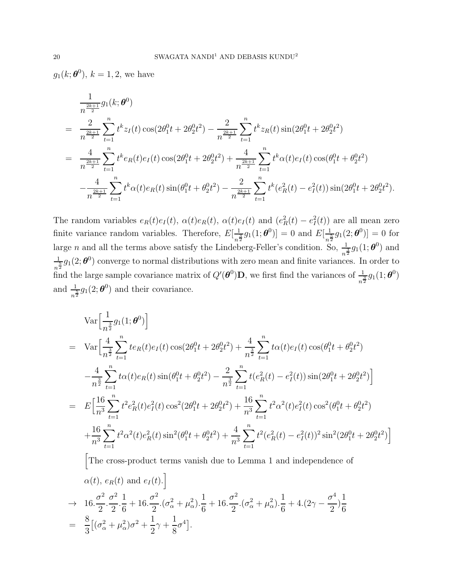$g_1(k; \theta^0)$ ,  $k = 1, 2$ , we have

$$
\frac{1}{n^{\frac{2k+1}{2}}}g_1(k;\theta^0)
$$
\n
$$
= \frac{2}{n^{\frac{2k+1}{2}}} \sum_{t=1}^n t^k z_I(t) \cos(2\theta_1^0 t + 2\theta_2^0 t^2) - \frac{2}{n^{\frac{2k+1}{2}}} \sum_{t=1}^n t^k z_R(t) \sin(2\theta_1^0 t + 2\theta_2^0 t^2)
$$
\n
$$
= \frac{4}{n^{\frac{2k+1}{2}}} \sum_{t=1}^n t^k e_R(t) e_I(t) \cos(2\theta_1^0 t + 2\theta_2^0 t^2) + \frac{4}{n^{\frac{2k+1}{2}}} \sum_{t=1}^n t^k \alpha(t) e_I(t) \cos(\theta_1^0 t + \theta_2^0 t^2)
$$
\n
$$
- \frac{4}{n^{\frac{2k+1}{2}}} \sum_{t=1}^n t^k \alpha(t) e_R(t) \sin(\theta_1^0 t + \theta_2^0 t^2) - \frac{2}{n^{\frac{2k+1}{2}}} \sum_{t=1}^n t^k (e_R^2(t) - e_I^2(t)) \sin(2\theta_1^0 t + 2\theta_2^0 t^2).
$$

The random variables  $e_R(t)e_I(t)$ ,  $\alpha(t)e_R(t)$ ,  $\alpha(t)e_I(t)$  and  $(e_R^2(t) - e_I^2(t))$  are all mean zero finite variance random variables. Therefore,  $E[\frac{1}{3}]$  $\frac{1}{n^{\frac{3}{2}}}g_1(1;\boldsymbol{\theta}^0)]=0$  and  $E[\frac{1}{n^{\frac{3}{2}}}$  $\frac{1}{n^{\frac{5}{2}}}g_1(2;\boldsymbol{\theta}^0)]=0$  for large *n* and all the terms above satisfy the Lindeberg-Feller's condition. So,  $-\frac{1}{3}$  $\frac{1}{n^{\frac{3}{2}}}g_1(1;\boldsymbol{\theta}^0)$  and 1  $\frac{1}{n^{\frac{5}{2}}}g_1(2;\boldsymbol{\theta}^0)$  converge to normal distributions with zero mean and finite variances. In order to find the large sample covariance matrix of  $Q'(\boldsymbol{\theta}^0)$ **D**, we first find the variances of  $\frac{1}{n^{\frac{3}{2}}}g_1(1;\boldsymbol{\theta}^0)$ and  $\frac{1}{n^{\frac{5}{2}}}g_1(2;\boldsymbol{\theta}^0)$  and their covariance.

$$
\operatorname{Var}\left[\frac{1}{n^{\frac{3}{2}}}g_{1}(1;\theta^{0})\right]
$$
\n
$$
= \operatorname{Var}\left[\frac{4}{n^{\frac{3}{2}}} \sum_{t=1}^{n} te_{R}(t)e_{I}(t) \cos(2\theta_{1}^{0}t + 2\theta_{2}^{0}t^{2}) + \frac{4}{n^{\frac{3}{2}}} \sum_{t=1}^{n} t\alpha(t)e_{I}(t) \cos(\theta_{1}^{0}t + \theta_{2}^{0}t^{2}) - \frac{4}{n^{\frac{3}{2}}} \sum_{t=1}^{n} t\alpha(t)e_{R}(t) \sin(\theta_{1}^{0}t + \theta_{2}^{0}t^{2}) - \frac{2}{n^{\frac{3}{2}}} \sum_{t=1}^{n} t(e_{R}^{2}(t) - e_{I}^{2}(t)) \sin(2\theta_{1}^{0}t + 2\theta_{2}^{0}t^{2})\right]
$$
\n
$$
= E\left[\frac{16}{n^3} \sum_{t=1}^{n} t^{2} e_{R}^{2}(t)e_{I}^{2}(t) \cos^{2}(2\theta_{1}^{0}t + 2\theta_{2}^{0}t^{2}) + \frac{16}{n^3} \sum_{t=1}^{n} t^{2} \alpha^{2}(t)e_{I}^{2}(t) \cos^{2}(\theta_{1}^{0}t + \theta_{2}^{0}t^{2}) + \frac{16}{n^3} \sum_{t=1}^{n} t^{2} \alpha^{2}(t)e_{R}^{2}(t) \sin^{2}(\theta_{1}^{0}t + \theta_{2}^{0}t^{2}) + \frac{4}{n^3} \sum_{t=1}^{n} t^{2}(e_{R}^{2}(t) - e_{I}^{2}(t))^{2} \sin^{2}(2\theta_{1}^{0}t + 2\theta_{2}^{0}t^{2})\right]
$$
\n[The cross-product terms vanish due to Lemma 1 and independence of  $\alpha(t)$ ,  $e_{R}(t)$  and  $e_{I}(t)$ .]  
\n
$$
\rightarrow 16.\frac{\sigma^{2}}{2}.\frac{\sigma^{2}}{2}.\frac{1}{6} + 16.\frac{\sigma^{2}}{2}.\left(\sigma_{\alpha}^{2} + \mu_{\alpha}^{2}\right).\frac{1}{6} + 16.\frac{\sigma^{2}}{2}.\left(\sigma_{\alpha}^{2}
$$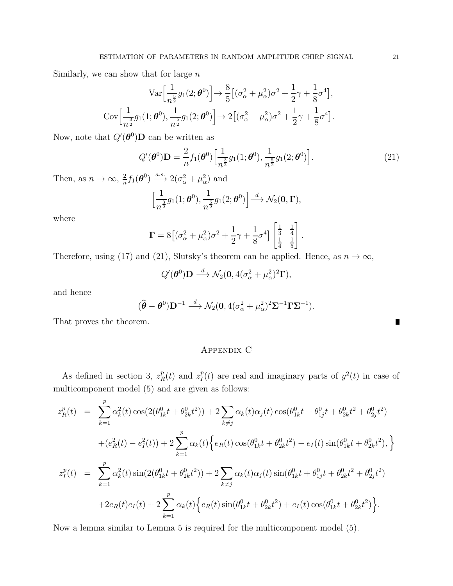Similarly, we can show that for large  $n$ 

$$
\operatorname{Var}\Big[\frac{1}{n^{\frac{5}{2}}}g_1(2;\boldsymbol{\theta}^{0})\Big] \to \frac{8}{5}\Big[(\sigma_{\alpha}^2 + \mu_{\alpha}^2)\sigma^2 + \frac{1}{2}\gamma + \frac{1}{8}\sigma^4\Big],
$$
  
\n
$$
\operatorname{Cov}\Big[\frac{1}{n^{\frac{3}{2}}}g_1(1;\boldsymbol{\theta}^{0}), \frac{1}{n^{\frac{5}{2}}}g_1(2;\boldsymbol{\theta}^{0})\Big] \to 2\Big[(\sigma_{\alpha}^2 + \mu_{\alpha}^2)\sigma^2 + \frac{1}{2}\gamma + \frac{1}{8}\sigma^4\Big].
$$

Now, note that  $Q'(\boldsymbol{\theta}^0)$ **D** can be written as

$$
Q'(\boldsymbol{\theta}^{0})\mathbf{D} = \frac{2}{n}f_{1}(\boldsymbol{\theta}^{0})\Big[\frac{1}{n^{\frac{3}{2}}}g_{1}(1;\boldsymbol{\theta}^{0}), \frac{1}{n^{\frac{5}{2}}}g_{1}(2;\boldsymbol{\theta}^{0})\Big].
$$
\n(21)

.

Then, as  $n \to \infty$ ,  $\frac{2}{n}$  $\frac{2}{n} f_1(\boldsymbol{\theta}^0) \stackrel{a.s.}{\longrightarrow} 2(\sigma_{\alpha}^2 + \mu_{\alpha}^2)$  and

$$
\left[\frac{1}{n^{\frac{3}{2}}}g_1(1;\boldsymbol{\theta}^0), \frac{1}{n^{\frac{5}{2}}}g_1(2;\boldsymbol{\theta}^0)\right] \stackrel{d}{\longrightarrow} \mathcal{N}_2(\mathbf{0},\boldsymbol{\Gamma}),
$$

where

$$
\Gamma = 8\left[ (\sigma_{\alpha}^2 + \mu_{\alpha}^2)\sigma^2 + \frac{1}{2}\gamma + \frac{1}{8}\sigma^4 \right] \begin{bmatrix} \frac{1}{3} & \frac{1}{4} \\ \frac{1}{4} & \frac{1}{5} \end{bmatrix}
$$

Therefore, using (17) and (21), Slutsky's theorem can be applied. Hence, as  $n \to \infty$ ,

$$
Q'(\boldsymbol{\theta}^0)\mathbf{D} \stackrel{d}{\longrightarrow} \mathcal{N}_2(\mathbf{0}, 4(\sigma^2_{\alpha} + \mu^2_{\alpha})^2\mathbf{\Gamma}),
$$

and hence

$$
(\widehat{\boldsymbol{\theta}} - \boldsymbol{\theta}^0)\mathbf{D}^{-1} \stackrel{d}{\longrightarrow} \mathcal{N}_2(\mathbf{0}, 4(\sigma_\alpha^2 + \mu_\alpha^2)^2 \mathbf{\Sigma}^{-1} \mathbf{\Gamma} \mathbf{\Sigma}^{-1}).
$$

That proves the theorem.

## Appendix C

As defined in section 3,  $z_R^p$  $\frac{p}{R}(t)$  and  $z_I^p$  $I_I^p(t)$  are real and imaginary parts of  $y^2(t)$  in case of multicomponent model (5) and are given as follows:

$$
z_R^p(t) = \sum_{k=1}^p \alpha_k^2(t) \cos(2(\theta_{1k}^0 t + \theta_{2k}^0 t^2)) + 2 \sum_{k \neq j} \alpha_k(t) \alpha_j(t) \cos(\theta_{1k}^0 t + \theta_{1j}^0 t + \theta_{2k}^0 t^2 + \theta_{2j}^0 t^2)
$$
  
+  $(e_R^2(t) - e_I^2(t)) + 2 \sum_{k=1}^p \alpha_k(t) \Big\{ e_R(t) \cos(\theta_{1k}^0 t + \theta_{2k}^0 t^2) - e_I(t) \sin(\theta_{1k}^0 t + \theta_{2k}^0 t^2), \Big\}$   

$$
z_I^p(t) = \sum_{k=1}^p \alpha_k^2(t) \sin(2(\theta_{1k}^0 t + \theta_{2k}^0 t^2)) + 2 \sum_{k \neq j} \alpha_k(t) \alpha_j(t) \sin(\theta_{1k}^0 t + \theta_{1j}^0 t + \theta_{2k}^0 t^2 + \theta_{2j}^0 t^2)
$$
  
+  $2e_R(t)e_I(t) + 2 \sum_{k=1}^p \alpha_k(t) \Big\{ e_R(t) \sin(\theta_{1k}^0 t + \theta_{2k}^0 t^2) + e_I(t) \cos(\theta_{1k}^0 t + \theta_{2k}^0 t^2) \Big\}.$ 

Now a lemma similar to Lemma 5 is required for the multicomponent model (5).

П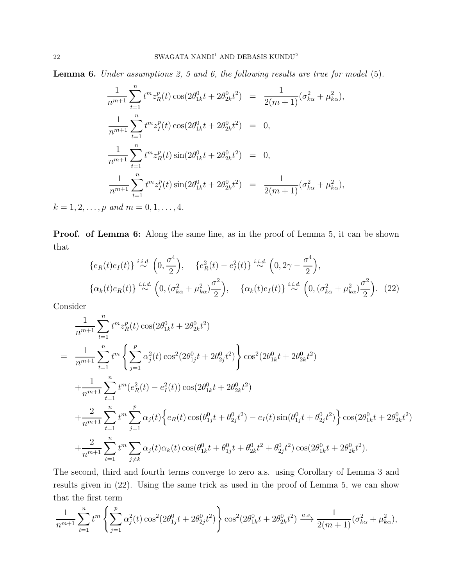Lemma 6. Under assumptions 2, 5 and 6, the following results are true for model (5).

$$
\frac{1}{n^{m+1}} \sum_{t=1}^{n} t^{m} z_R^p(t) \cos(2\theta_{1k}^0 t + 2\theta_{2k}^0 t^2) = \frac{1}{2(m+1)} (\sigma_{k\alpha}^2 + \mu_{k\alpha}^2),
$$
  
\n
$$
\frac{1}{n^{m+1}} \sum_{t=1}^{n} t^{m} z_I^p(t) \cos(2\theta_{1k}^0 t + 2\theta_{2k}^0 t^2) = 0,
$$
  
\n
$$
\frac{1}{n^{m+1}} \sum_{t=1}^{n} t^{m} z_R^p(t) \sin(2\theta_{1k}^0 t + 2\theta_{2k}^0 t^2) = 0,
$$
  
\n
$$
\frac{1}{n^{m+1}} \sum_{t=1}^{n} t^{m} z_I^p(t) \sin(2\theta_{1k}^0 t + 2\theta_{2k}^0 t^2) = \frac{1}{2(m+1)} (\sigma_{k\alpha}^2 + \mu_{k\alpha}^2),
$$
  
\nand  $m = 0, 1, \ldots, 4$ 

 $k = 1, 2, \ldots, p \text{ and } m = 0, 1, \ldots, 4.$ 

Proof. of Lemma 6: Along the same line, as in the proof of Lemma 5, it can be shown that

$$
\{e_R(t)e_I(t)\}\stackrel{i.i.d.}{\sim} \left(0, \frac{\sigma^4}{2}\right), \quad \{e_R^2(t) - e_I^2(t)\}\stackrel{i.i.d.}{\sim} \left(0, 2\gamma - \frac{\sigma^4}{2}\right),
$$
  

$$
\{\alpha_k(t)e_R(t)\}\stackrel{i.i.d.}{\sim} \left(0, (\sigma_{k\alpha}^2 + \mu_{k\alpha}^2)\frac{\sigma^2}{2}\right), \quad \{\alpha_k(t)e_I(t)\}\stackrel{i.i.d.}{\sim} \left(0, (\sigma_{k\alpha}^2 + \mu_{k\alpha}^2)\frac{\sigma^2}{2}\right). \quad (22)
$$

Consider

$$
\frac{1}{n^{m+1}} \sum_{t=1}^{n} t^{m} z_R^p(t) \cos(2\theta_{1k}^0 t + 2\theta_{2k}^0 t^2)
$$
\n
$$
= \frac{1}{n^{m+1}} \sum_{t=1}^{n} t^{m} \left\{ \sum_{j=1}^{p} \alpha_j^2(t) \cos^2(2\theta_{1j}^0 t + 2\theta_{2j}^0 t^2) \right\} \cos^2(2\theta_{1k}^0 t + 2\theta_{2k}^0 t^2)
$$
\n
$$
+ \frac{1}{n^{m+1}} \sum_{t=1}^{n} t^{m} (e_R^2(t) - e_I^2(t)) \cos(2\theta_{1k}^0 t + 2\theta_{2k}^0 t^2)
$$
\n
$$
+ \frac{2}{n^{m+1}} \sum_{t=1}^{n} t^{m} \sum_{j=1}^{p} \alpha_j(t) \left\{ e_R(t) \cos(\theta_{1j}^0 t + \theta_{2j}^0 t^2) - e_I(t) \sin(\theta_{1j}^0 t + \theta_{2j}^0 t^2) \right\} \cos(2\theta_{1k}^0 t + 2\theta_{2k}^0 t^2)
$$
\n
$$
+ \frac{2}{n^{m+1}} \sum_{t=1}^{n} t^{m} \sum_{j \neq k} \alpha_j(t) \alpha_k(t) \cos(\theta_{1k}^0 t + \theta_{1j}^0 t + \theta_{2k}^0 t^2 + \theta_{2j}^0 t^2) \cos(2\theta_{1k}^0 t + 2\theta_{2k}^0 t^2).
$$

The second, third and fourth terms converge to zero a.s. using Corollary of Lemma 3 and results given in (22). Using the same trick as used in the proof of Lemma 5, we can show that the first term

$$
\frac{1}{n^{m+1}} \sum_{t=1}^{n} t^m \left\{ \sum_{j=1}^{p} \alpha_j^2(t) \cos^2(2\theta_{1j}^0 t + 2\theta_{2j}^0 t^2) \right\} \cos^2(2\theta_{1k}^0 t + 2\theta_{2k}^0 t^2) \xrightarrow{a.s.} \frac{1}{2(m+1)} (\sigma_{k\alpha}^2 + \mu_{k\alpha}^2),
$$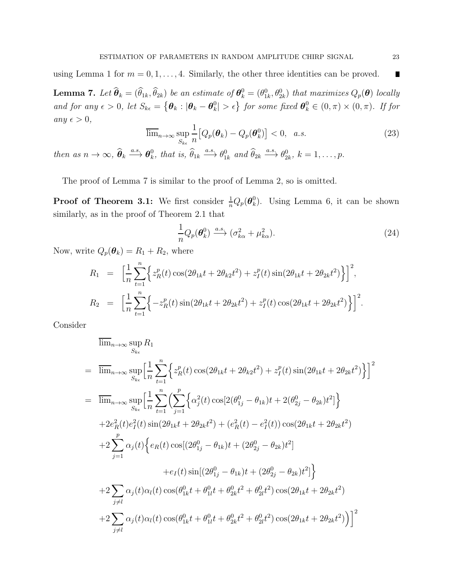using Lemma 1 for  $m = 0, 1, \ldots, 4$ . Similarly, the other three identities can be proved.

**Lemma 7.** Let  $\widehat{\boldsymbol{\theta}}_k = (\widehat{\theta}_{1k}, \widehat{\theta}_{2k})$  be an estimate of  $\boldsymbol{\theta}_k^0 = (\theta_{1k}^0, \theta_{2k}^0)$  that maximizes  $Q_p(\boldsymbol{\theta})$  locally and for any  $\epsilon > 0$ , let  $S_{k\epsilon} = {\theta_k : |\theta_k - \theta_k^0| > \epsilon}$  for some fixed  $\theta_k^0 \in (0, \pi) \times (0, \pi)$ . If for any  $\epsilon > 0$ ,

$$
\overline{\lim}_{n \to \infty} \sup_{S_{k\epsilon}} \frac{1}{n} \big[ Q_p(\boldsymbol{\theta}_k) - Q_p(\boldsymbol{\theta}_k^0) \big] < 0, \quad a.s. \tag{23}
$$

then as  $n \to \infty$ ,  $\hat{\theta}_k \stackrel{a.s.}{\longrightarrow} \theta_k^0$ , that is,  $\hat{\theta}_{1k} \stackrel{a.s.}{\longrightarrow} \theta_{1k}^0$  and  $\hat{\theta}_{2k} \stackrel{a.s.}{\longrightarrow} \theta_{2k}^0$ ,  $k = 1, \ldots, p$ .

The proof of Lemma 7 is similar to the proof of Lemma 2, so is omitted.

**Proof of Theorem 3.1:** We first consider  $\frac{1}{n}Q_p(\theta_k^0)$ . Using Lemma 6, it can be shown similarly, as in the proof of Theorem 2.1 that

$$
\frac{1}{n}Q_p(\boldsymbol{\theta}_k^0) \xrightarrow{a.s.} (\sigma_{k\alpha}^2 + \mu_{k\alpha}^2).
$$
\n(24)

Now, write  $Q_p(\boldsymbol{\theta}_k) = R_1 + R_2$ , where

$$
R_1 = \left[\frac{1}{n}\sum_{t=1}^n \left\{ z_R^p(t) \cos(2\theta_{1k}t + 2\theta_{k2}t^2) + z_I^p(t) \sin(2\theta_{1k}t + 2\theta_{2k}t^2) \right\} \right]^2,
$$
  
\n
$$
R_2 = \left[\frac{1}{n}\sum_{t=1}^n \left\{ -z_R^p(t) \sin(2\theta_{1k}t + 2\theta_{2k}t^2) + z_I^p(t) \cos(2\theta_{1k}t + 2\theta_{2k}t^2) \right\} \right]^2.
$$

Consider

$$
\lim_{n\to\infty} \sup_{S_{k\epsilon}} R_1
$$
\n
$$
= \lim_{n\to\infty} \sup_{S_{k\epsilon}} \left[ \frac{1}{n} \sum_{t=1}^n \left\{ z_R^p(t) \cos(2\theta_{1k}t + 2\theta_{k2}t^2) + z_I^p(t) \sin(2\theta_{1k}t + 2\theta_{2k}t^2) \right\} \right]^2
$$
\n
$$
= \lim_{n\to\infty} \sup_{S_{k\epsilon}} \left[ \frac{1}{n} \sum_{t=1}^n \left( \sum_{j=1}^p \left\{ \alpha_j^2(t) \cos[2(\theta_{1j}^0 - \theta_{1k})t + 2(\theta_{2j}^0 - \theta_{2k})t^2] \right\} \right.
$$
\n
$$
+ 2e_R^2(t)e_I^2(t) \sin(2\theta_{1k}t + 2\theta_{2k}t^2) + (e_R^2(t) - e_I^2(t)) \cos(2\theta_{1k}t + 2\theta_{2k}t^2)
$$
\n
$$
+ 2\sum_{j=1}^p \alpha_j(t) \left\{ e_R(t) \cos[(2\theta_{1j}^0 - \theta_{1k})t + (2\theta_{2j}^0 - \theta_{2k})t^2] \right.\right.
$$
\n
$$
+ e_I(t) \sin[(2\theta_{1j}^0 - \theta_{1k})t + (2\theta_{2j}^0 - \theta_{2k})t^2] \right\}
$$
\n
$$
+ 2\sum_{j\neq l} \alpha_j(t)\alpha_l(t) \cos(\theta_{1k}^0 t + \theta_{1l}^0 t + \theta_{2k}^0 t^2 + \theta_{2l}^0 t^2) \cos(2\theta_{1k}t + 2\theta_{2k}t^2)
$$
\n
$$
+ 2\sum_{j\neq l} \alpha_j(t)\alpha_l(t) \cos(\theta_{1k}^0 t + \theta_{1l}^0 t + \theta_{2k}^0 t^2 + \theta_{2l}^0 t^2) \cos(2\theta_{1k}t + 2\theta_{2k}t^2) \right)]^2
$$

и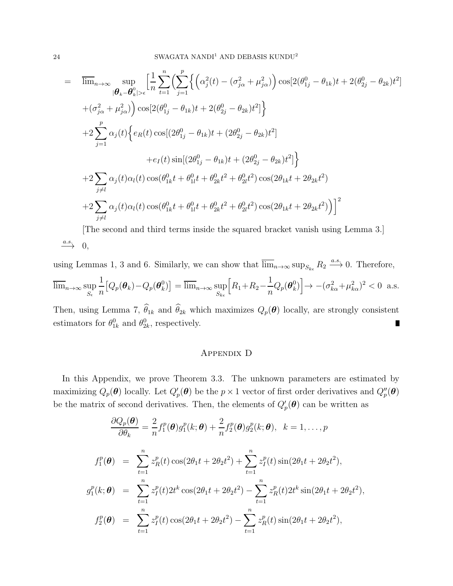$$
= \overline{\lim}_{n\to\infty} \sup_{|\theta_k - \theta_k^0| > \epsilon} \left[ \frac{1}{n} \sum_{t=1}^n \left( \sum_{j=1}^p \left\{ \left( \alpha_j^2(t) - (\sigma_{j\alpha}^2 + \mu_{j\alpha}^2) \right) \cos[2(\theta_{1j}^0 - \theta_{1k})t + 2(\theta_{2j}^0 - \theta_{2k})t^2 \right\} \right. \\ \left. + (\sigma_{j\alpha}^2 + \mu_{j\alpha}^2) \right) \cos[2(\theta_{1j}^0 - \theta_{1k})t + 2(\theta_{2j}^0 - \theta_{2k})t^2] \right\} \\ + 2 \sum_{j=1}^p \alpha_j(t) \left\{ e_R(t) \cos[(2\theta_{1j}^0 - \theta_{1k})t + (2\theta_{2j}^0 - \theta_{2k})t^2] + e_I(t) \sin[(2\theta_{1j}^0 - \theta_{1k})t + (2\theta_{2j}^0 - \theta_{2k})t^2] \right\} \\ + 2 \sum_{j\neq l} \alpha_j(t)\alpha_l(t) \cos(\theta_{1k}^0 t + \theta_{1l}^0 t + \theta_{2k}^0 t^2 + \theta_{2l}^0 t^2) \cos(2\theta_{1k} t + 2\theta_{2k} t^2) \\ + 2 \sum_{j\neq l} \alpha_j(t)\alpha_l(t) \cos(\theta_{1k}^0 t + \theta_{1l}^0 t + \theta_{2k}^0 t^2 + \theta_{2l}^0 t^2) \cos(2\theta_{1k} t + 2\theta_{2k} t^2) \right]^2
$$

[The second and third terms inside the squared bracket vanish using Lemma 3.]  $\stackrel{a.s.}{\longrightarrow} 0,$ 

using Lemmas 1, 3 and 6. Similarly, we can show that  $\overline{\lim}_{n\to\infty} \sup_{S_{k\epsilon}} R_2 \stackrel{a.s.}{\longrightarrow} 0$ . Therefore,  $\lim_{n\to\infty}$ sup  $S_{\epsilon}$ 1 n  $\left[Q_p(\boldsymbol{\theta}_k)-Q_p(\boldsymbol{\theta}_k^0)\right]=\overline{\lim}_{n\to\infty}\sup$  $S_{k\epsilon}$  $\left[R_1 + R_2 - \frac{1}{n}\right]$  $\frac{1}{n}Q_p(\boldsymbol{\theta}_k^0)\right] \rightarrow -(\sigma_{k\alpha}^2 + \mu_{k\alpha}^2)^2 < 0$  a.s.

Then, using Lemma 7,  $\hat{\theta}_{1k}$  and  $\hat{\theta}_{2k}$  which maximizes  $Q_p(\theta)$  locally, are strongly consistent estimators for  $\theta_{1k}^0$  and  $\theta_{2k}^0$ , respectively.

#### Appendix D

In this Appendix, we prove Theorem 3.3. The unknown parameters are estimated by maximizing  $Q_p(\theta)$  locally. Let  $Q'_p(\theta)$  be the  $p \times 1$  vector of first order derivatives and  $Q''_p(\theta)$ be the matrix of second derivatives. Then, the elements of  $Q'_p(\theta)$  can be written as

$$
\frac{\partial Q_p(\boldsymbol{\theta})}{\partial \theta_k} = \frac{2}{n} f_1^p(\boldsymbol{\theta}) g_1^p(k; \boldsymbol{\theta}) + \frac{2}{n} f_2^p(\boldsymbol{\theta}) g_2^p(k; \boldsymbol{\theta}), \quad k = 1, ..., p
$$
\n
$$
f_1^p(\boldsymbol{\theta}) = \sum_{t=1}^n z_R^p(t) \cos(2\theta_1 t + 2\theta_2 t^2) + \sum_{t=1}^n z_I^p(t) \sin(2\theta_1 t + 2\theta_2 t^2),
$$
\n
$$
g_1^p(k; \boldsymbol{\theta}) = \sum_{t=1}^n z_I^p(t) 2t^k \cos(2\theta_1 t + 2\theta_2 t^2) - \sum_{t=1}^n z_R^p(t) 2t^k \sin(2\theta_1 t + 2\theta_2 t^2),
$$
\n
$$
f_2^p(\boldsymbol{\theta}) = \sum_{t=1}^n z_I^p(t) \cos(2\theta_1 t + 2\theta_2 t^2) - \sum_{t=1}^n z_R^p(t) \sin(2\theta_1 t + 2\theta_2 t^2),
$$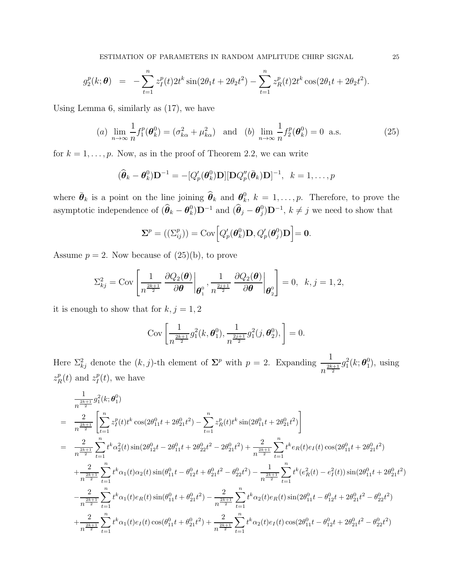$$
g_2^p(k; \theta) = -\sum_{t=1}^n z_I^p(t) 2t^k \sin(2\theta_1 t + 2\theta_2 t^2) - \sum_{t=1}^n z_R^p(t) 2t^k \cos(2\theta_1 t + 2\theta_2 t^2).
$$

Using Lemma 6, similarly as (17), we have

(a) 
$$
\lim_{n \to \infty} \frac{1}{n} f_1^p(\theta_k^0) = (\sigma_{k\alpha}^2 + \mu_{k\alpha}^2)
$$
 and (b)  $\lim_{n \to \infty} \frac{1}{n} f_2^p(\theta_k^0) = 0$  a.s. (25)

for  $k = 1, \ldots, p$ . Now, as in the proof of Theorem 2.2, we can write

$$
(\widehat{\boldsymbol{\theta}}_k - \boldsymbol{\theta}_k^0)\mathbf{D}^{-1} = -[Q'_p(\boldsymbol{\theta}_k^0)\mathbf{D}][\mathbf{D}Q''_p(\bar{\boldsymbol{\theta}}_k)\mathbf{D}]^{-1}, \ \ k = 1, \ldots, p
$$

where  $\bar{\theta}_k$  is a point on the line joining  $\hat{\theta}_k$  and  $\theta_k^0$ ,  $k = 1, \ldots, p$ . Therefore, to prove the asymptotic independence of  $(\hat{\theta}_k - \theta_k^0)D^{-1}$  and  $(\hat{\theta}_j - \theta_j^0)D^{-1}$ ,  $k \neq j$  we need to show that

$$
\mathbf{\Sigma}^p = ((\Sigma^p_{ij})) = \text{Cov}\Big[Q'_p(\boldsymbol{\theta}_k^0)\mathbf{D}, Q'_p(\boldsymbol{\theta}_j^0)\mathbf{D}\Big] = \mathbf{0}.
$$

Assume  $p = 2$ . Now because of  $(25)(b)$ , to prove

$$
\Sigma_{kj}^2 = \text{Cov}\left[\frac{1}{n^{\frac{2k+1}{2}}}\left.\frac{\partial Q_2(\boldsymbol{\theta})}{\partial \boldsymbol{\theta}}\right|_{\boldsymbol{\theta}_1^0}, \frac{1}{n^{\frac{2j+1}{2}}}\left.\frac{\partial Q_2(\boldsymbol{\theta})}{\partial \boldsymbol{\theta}}\right|_{\boldsymbol{\theta}_2^0}\right] = 0, \ \ k, j = 1, 2,
$$

it is enough to show that for  $k,j=1,2$ 

$$
Cov\left[\frac{1}{n^{\frac{2k+1}{2}}}g_1^2(k,\boldsymbol{\theta}_1^0),\frac{1}{n^{\frac{2j+1}{2}}}g_1^2(j,\boldsymbol{\theta}_2^0),\right] = 0.
$$

Here  $\Sigma_{kj}^2$  denote the  $(k, j)$ -th element of  $\Sigma^p$  with  $p = 2$ . Expanding  $-\frac{1}{2k}$  $\frac{1}{n^{\frac{2k+1}{2}}}g_1^2(k;\boldsymbol\theta_1^0)$  $_1^0$ , using  $z_R^p$  $\frac{p}{R}(t)$  and  $z_I^p$  $I_I^p(t)$ , we have

$$
\begin{array}{lll} & \frac{1}{n^{\frac{2k+1}{2}}}g_{1}^{2}(k;\boldsymbol{\theta}_{1}^{0})\\&=&\frac{2}{n^{\frac{2k+1}{2}}}\left[\sum\limits_{t=1}^{n}z_{I}^{p}(t)t^{k}\cos(2\theta_{11}^{0}t+2\theta_{21}^{0}t^{2})-\sum\limits_{t=1}^{n}z_{R}^{p}(t)t^{k}\sin(2\theta_{11}^{0}t+2\theta_{21}^{0}t^{2})\right]\\&=&\frac{2}{n^{\frac{2k+1}{2}}}\sum\limits_{t=1}^{n}t^{k}\alpha_{2}^{2}(t)\sin(2\theta_{12}^{0}t-2\theta_{11}^{0}t+2\theta_{22}^{0}t^{2}-2\theta_{21}^{0}t^{2})+\frac{2}{n^{\frac{2k+1}{2}}}\sum\limits_{t=1}^{n}t^{k}e_{R}(t)e_{I}(t)\cos(2\theta_{11}^{0}t+2\theta_{21}^{0}t^{2})\\&+\frac{2}{n^{\frac{2k+1}{2}}}\sum\limits_{t=1}^{n}t^{k}\alpha_{1}(t)\alpha_{2}(t)\sin(\theta_{11}^{0}t-\theta_{12}^{0}t+\theta_{21}^{0}t^{2}-\theta_{22}^{0}t^{2})-\frac{1}{n^{\frac{2k+1}{2}}}\sum\limits_{t=1}^{n}t^{k}(e_{R}^{2}(t)-e_{I}^{2}(t))\sin(2\theta_{11}^{0}t+2\theta_{21}^{0}t^{2})\\&-\frac{2}{n^{\frac{2k+1}{2}}}\sum\limits_{t=1}^{n}t^{k}\alpha_{1}(t)e_{R}(t)\sin(\theta_{11}^{0}t+\theta_{21}^{0}t^{2})-\frac{2}{n^{\frac{2k+1}{2}}}\sum\limits_{t=1}^{n}t^{k}\alpha_{2}(t)e_{R}(t)\sin(2\theta_{11}^{0}t-\theta_{12}^{0}t+2\theta_{21}^{0}t^{2}-\theta_{22}^{0}t^{2})\\&+\frac{2}{n^{\frac{2k+1}{2}}}\sum\limits_{t=1}^{n}t^{k}\alpha_{1}(t)e_{I}(t)\cos(\theta_{11}^{0}t+\theta_{21}^{0}t^{2})+\frac{2}{n^
$$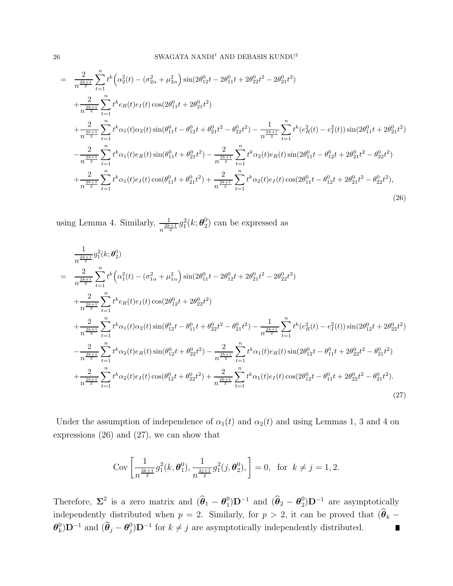$$
= \frac{2}{n^{\frac{2k+1}{2}}} \sum_{t=1}^{n} t^{k} \Big( \alpha_{2}^{2}(t) - (\sigma_{2\alpha}^{2} + \mu_{2\alpha}^{2}) \sin(2\theta_{12}^{0}t - 2\theta_{11}^{0}t + 2\theta_{22}^{0}t^{2} - 2\theta_{21}^{0}t^{2})
$$
  
+ 
$$
\frac{2}{n^{\frac{2k+1}{2}}} \sum_{t=1}^{n} t^{k} e_{R}(t) e_{I}(t) \cos(2\theta_{11}^{0}t + 2\theta_{21}^{0}t^{2})
$$
  
+ 
$$
\frac{2}{n^{\frac{2k+1}{2}}} \sum_{t=1}^{n} t^{k} \alpha_{1}(t) \alpha_{2}(t) \sin(\theta_{11}^{0}t - \theta_{12}^{0}t + \theta_{21}^{0}t^{2} - \theta_{22}^{0}t^{2}) - \frac{1}{n^{\frac{2k+1}{2}}} \sum_{t=1}^{n} t^{k} (e_{R}^{2}(t) - e_{I}^{2}(t)) \sin(2\theta_{11}^{0}t + 2\theta_{21}^{0}t^{2})
$$
  
- 
$$
\frac{2}{n^{\frac{2k+1}{2}}} \sum_{t=1}^{n} t^{k} \alpha_{1}(t) e_{R}(t) \sin(\theta_{11}^{0}t + \theta_{21}^{0}t^{2}) - \frac{2}{n^{\frac{2k+1}{2}}} \sum_{t=1}^{n} t^{k} \alpha_{2}(t) e_{R}(t) \sin(2\theta_{11}^{0}t - \theta_{12}^{0}t + 2\theta_{21}^{0}t^{2} - \theta_{22}^{0}t^{2})
$$
  
+ 
$$
\frac{2}{n^{\frac{2k+1}{2}}} \sum_{t=1}^{n} t^{k} \alpha_{1}(t) e_{I}(t) \cos(\theta_{11}^{0}t + \theta_{21}^{0}t^{2}) + \frac{2}{n^{\frac{2k+1}{2}}} \sum_{t=1}^{n} t^{k} \alpha_{2}(t) e_{I}(t) \cos(2\theta_{11}^{0}t - \theta_{12}^{0}t + 2\theta_{21}^{0}t^{2} - \theta_{22}^{0}t^{2}),
$$

using Lemma 4. Similarly,  $\frac{1}{n^{\frac{2k+1}{2}}}g_1^2(k;\boldsymbol{\theta}_2^0)$  $_{2}^{\circ}$ ) can be expressed as

$$
\frac{1}{n^{\frac{2k+1}{2}}} g_1^2(k; \theta_2^0)
$$
\n
$$
= \frac{2}{n^{\frac{2k+1}{2}}} \sum_{t=1}^n t^k (\alpha_1^2(t) - (\sigma_{1\alpha}^2 + \mu_{1\alpha}^2) \sin(2\theta_{11}^0 t - 2\theta_{12}^0 t + 2\theta_{21}^0 t^2 - 2\theta_{22}^0 t^2)
$$
\n
$$
+ \frac{2}{n^{\frac{2k+1}{2}}} \sum_{t=1}^n t^k e_R(t) e_I(t) \cos(2\theta_{12}^0 t + 2\theta_{22}^0 t^2)
$$
\n
$$
+ \frac{2}{n^{\frac{2k+1}{2}}} \sum_{t=1}^n t^k \alpha_1(t) \alpha_2(t) \sin(\theta_{12}^0 t - \theta_{11}^0 t + \theta_{22}^0 t^2 - \theta_{21}^0 t^2) - \frac{1}{n^{\frac{2k+1}{2}}} \sum_{t=1}^n t^k (e_R^2(t) - e_I^2(t)) \sin(2\theta_{12}^0 t + 2\theta_{22}^0 t^2)
$$
\n
$$
- \frac{2}{n^{\frac{2k+1}{2}}} \sum_{t=1}^n t^k \alpha_2(t) e_R(t) \sin(\theta_{12}^0 t + \theta_{22}^0 t^2) - \frac{2}{n^{\frac{2k+1}{2}}} \sum_{t=1}^n t^k \alpha_1(t) e_R(t) \sin(2\theta_{12}^0 t - \theta_{11}^0 t + 2\theta_{22}^0 t^2 - \theta_{21}^0 t^2)
$$
\n
$$
+ \frac{2}{n^{\frac{2k+1}{2}}} \sum_{t=1}^n t^k \alpha_2(t) e_I(t) \cos(\theta_{12}^0 t + \theta_{22}^0 t^2) + \frac{2}{n^{\frac{2k+1}{2}}} \sum_{t=1}^n t^k \alpha_1(t) e_I(t) \cos(2\theta_{12}^0 t - \theta_{11}^0 t + 2\theta_{22}^0 t^2 - \theta_{21}^0 t^2).
$$
\n(27)

Under the assumption of independence of  $\alpha_1(t)$  and  $\alpha_2(t)$  and using Lemmas 1, 3 and 4 on expressions (26) and (27), we can show that

$$
Cov\left[\frac{1}{n^{\frac{2k+1}{2}}}g_1^2(k,\boldsymbol{\theta}_1^0),\frac{1}{n^{\frac{2j+1}{2}}}g_1^2(j,\boldsymbol{\theta}_2^0),\right] = 0, \text{ for } k \neq j = 1, 2.
$$

Therefore,  $\Sigma^2$  is a zero matrix and  $(\widehat{\boldsymbol{\theta}}_1 - \boldsymbol{\theta}_1^0)$  $_{1}^{0})\mathbf{D}^{-1}$  and  $(\widehat{\boldsymbol{\theta}}_{2}-\boldsymbol{\theta}_{2}^{0})$  $_{2}^{0}$ )D<sup>-1</sup> are asymptotically independently distributed when  $p = 2$ . Similarly, for  $p > 2$ , it can be proved that  $(\hat{\theta}_k \theta_k^0$ ) $\mathbf{D}^{-1}$  and  $(\widehat{\theta}_j - \theta_j^0)\mathbf{D}^{-1}$  for  $k \neq j$  are asymptotically independently distributed.